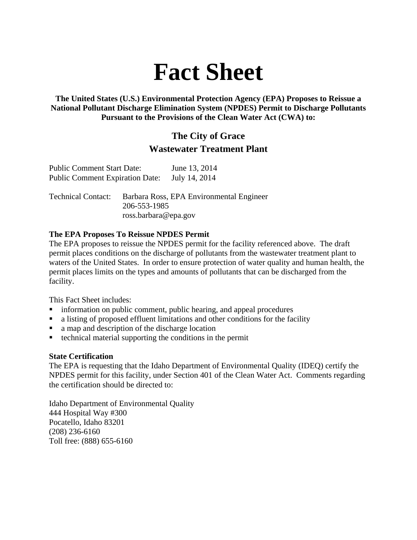# **Fact Sheet**

**The United States (U.S.) Environmental Protection Agency (EPA) Proposes to Reissue a National Pollutant Discharge Elimination System (NPDES) Permit to Discharge Pollutants Pursuant to the Provisions of the Clean Water Act (CWA) to:** 

#### **The City of Grace Wastewater Treatment Plant**

| <b>Public Comment Start Date:</b>      | June 13, 2014 |
|----------------------------------------|---------------|
| <b>Public Comment Expiration Date:</b> | July 14, 2014 |

Technical Contact: Barbara Ross, EPA Environmental Engineer 206-553-1985 ross.barbara@epa.gov

#### **The EPA Proposes To Reissue NPDES Permit**

The EPA proposes to reissue the NPDES permit for the facility referenced above. The draft permit places conditions on the discharge of pollutants from the wastewater treatment plant to waters of the United States. In order to ensure protection of water quality and human health, the permit places limits on the types and amounts of pollutants that can be discharged from the facility.

This Fact Sheet includes:

- information on public comment, public hearing, and appeal procedures
- a listing of proposed effluent limitations and other conditions for the facility
- a map and description of the discharge location
- $\blacksquare$  technical material supporting the conditions in the permit

#### **State Certification**

The EPA is requesting that the Idaho Department of Environmental Quality (IDEQ) certify the NPDES permit for this facility, under Section 401 of the Clean Water Act. Comments regarding the certification should be directed to:

Idaho Department of Environmental Quality 444 Hospital Way #300 Pocatello, Idaho 83201 (208) 236-6160 Toll free: (888) 655-6160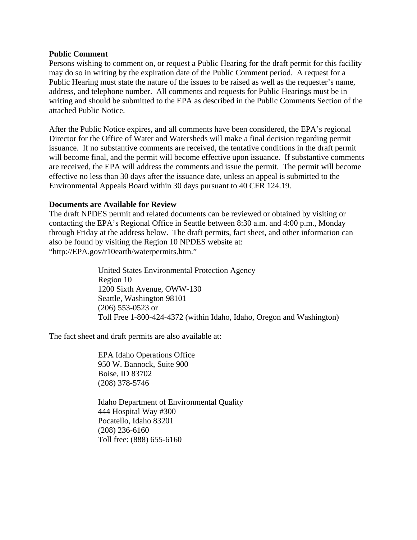#### **Public Comment**

Persons wishing to comment on, or request a Public Hearing for the draft permit for this facility may do so in writing by the expiration date of the Public Comment period. A request for a Public Hearing must state the nature of the issues to be raised as well as the requester's name, address, and telephone number. All comments and requests for Public Hearings must be in writing and should be submitted to the EPA as described in the Public Comments Section of the attached Public Notice.

After the Public Notice expires, and all comments have been considered, the EPA's regional Director for the Office of Water and Watersheds will make a final decision regarding permit issuance. If no substantive comments are received, the tentative conditions in the draft permit will become final, and the permit will become effective upon issuance. If substantive comments are received, the EPA will address the comments and issue the permit. The permit will become effective no less than 30 days after the issuance date, unless an appeal is submitted to the Environmental Appeals Board within 30 days pursuant to 40 CFR 124.19.

#### **Documents are Available for Review**

The draft NPDES permit and related documents can be reviewed or obtained by visiting or contacting the EPA's Regional Office in Seattle between 8:30 a.m. and 4:00 p.m., Monday through Friday at the address below. The draft permits, fact sheet, and other information can also be found by visiting the Region 10 NPDES website at: "http://EPA.gov/r10earth/waterpermits.htm."

> United States Environmental Protection Agency Region 10 1200 Sixth Avenue, OWW-130 Seattle, Washington 98101 (206) 553-0523 or Toll Free 1-800-424-4372 (within Idaho, Idaho, Oregon and Washington)

The fact sheet and draft permits are also available at:

EPA Idaho Operations Office 950 W. Bannock, Suite 900 Boise, ID 83702 (208) 378-5746

Idaho Department of Environmental Quality 444 Hospital Way #300 Pocatello, Idaho 83201 (208) 236-6160 Toll free: (888) 655-6160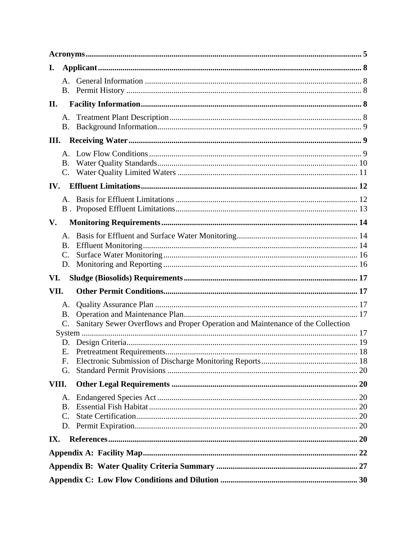| I.    |                |                                                                                 |  |
|-------|----------------|---------------------------------------------------------------------------------|--|
|       |                |                                                                                 |  |
| II.   |                |                                                                                 |  |
|       | A.<br>В.       |                                                                                 |  |
| III.  |                |                                                                                 |  |
|       | B.<br>C.       |                                                                                 |  |
| IV.   |                |                                                                                 |  |
|       |                |                                                                                 |  |
| V.    |                |                                                                                 |  |
|       | В.<br>C.<br>D. |                                                                                 |  |
|       |                |                                                                                 |  |
| VI.   |                |                                                                                 |  |
| VII.  |                |                                                                                 |  |
|       | A.<br>Β.<br>C. | Sanitary Sewer Overflows and Proper Operation and Maintenance of the Collection |  |
|       |                |                                                                                 |  |
|       |                |                                                                                 |  |
|       | F.             |                                                                                 |  |
|       | G.             |                                                                                 |  |
| VIII. |                |                                                                                 |  |
|       | А.             |                                                                                 |  |
|       | В.<br>C.       |                                                                                 |  |
|       | D.             |                                                                                 |  |
| IX.   |                |                                                                                 |  |
|       |                |                                                                                 |  |
|       |                |                                                                                 |  |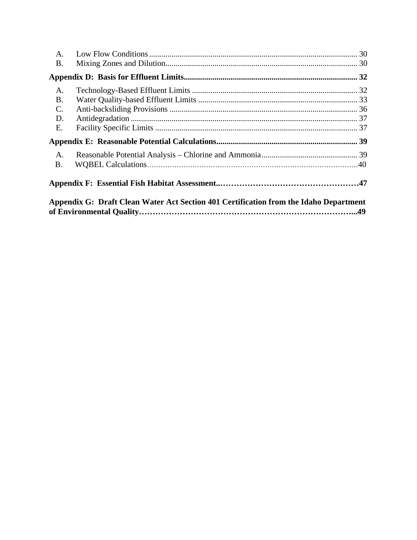| A.                                                                                    |  |  |
|---------------------------------------------------------------------------------------|--|--|
| <b>B.</b>                                                                             |  |  |
|                                                                                       |  |  |
| A.                                                                                    |  |  |
| <b>B.</b>                                                                             |  |  |
| $\mathbf{C}$ .                                                                        |  |  |
| D.                                                                                    |  |  |
| E.                                                                                    |  |  |
|                                                                                       |  |  |
| $\mathsf{A}$ .                                                                        |  |  |
| <b>B.</b>                                                                             |  |  |
|                                                                                       |  |  |
| Appendix G: Draft Clean Water Act Section 401 Certification from the Idaho Department |  |  |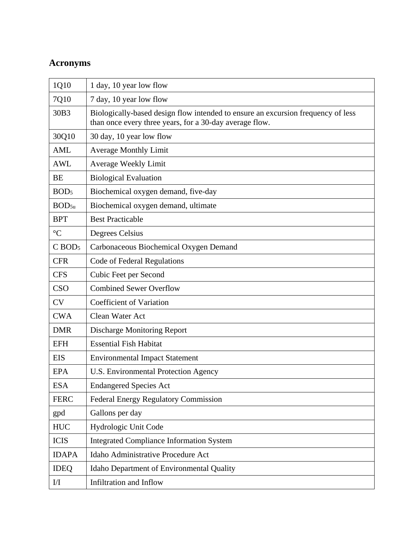# **Acronyms**

| 1Q10                 | 1 day, 10 year low flow                                                                                                                     |
|----------------------|---------------------------------------------------------------------------------------------------------------------------------------------|
| 7Q10                 | 7 day, 10 year low flow                                                                                                                     |
| 30B3                 | Biologically-based design flow intended to ensure an excursion frequency of less<br>than once every three years, for a 30-day average flow. |
| 30Q10                | 30 day, 10 year low flow                                                                                                                    |
| <b>AML</b>           | <b>Average Monthly Limit</b>                                                                                                                |
| <b>AWL</b>           | <b>Average Weekly Limit</b>                                                                                                                 |
| <b>BE</b>            | <b>Biological Evaluation</b>                                                                                                                |
| BOD <sub>5</sub>     | Biochemical oxygen demand, five-day                                                                                                         |
| BOD <sub>5u</sub>    | Biochemical oxygen demand, ultimate                                                                                                         |
| <b>BPT</b>           | <b>Best Practicable</b>                                                                                                                     |
| $\rm ^{\circ}C$      | Degrees Celsius                                                                                                                             |
| $C$ BOD <sub>5</sub> | Carbonaceous Biochemical Oxygen Demand                                                                                                      |
| <b>CFR</b>           | Code of Federal Regulations                                                                                                                 |
| <b>CFS</b>           | Cubic Feet per Second                                                                                                                       |
| <b>CSO</b>           | <b>Combined Sewer Overflow</b>                                                                                                              |
| <b>CV</b>            | <b>Coefficient of Variation</b>                                                                                                             |
| <b>CWA</b>           | Clean Water Act                                                                                                                             |
| <b>DMR</b>           | <b>Discharge Monitoring Report</b>                                                                                                          |
| <b>EFH</b>           | <b>Essential Fish Habitat</b>                                                                                                               |
| <b>EIS</b>           | <b>Environmental Impact Statement</b>                                                                                                       |
| <b>EPA</b>           | U.S. Environmental Protection Agency                                                                                                        |
| <b>ESA</b>           | <b>Endangered Species Act</b>                                                                                                               |
| <b>FERC</b>          | Federal Energy Regulatory Commission                                                                                                        |
| gpd                  | Gallons per day                                                                                                                             |
| <b>HUC</b>           | Hydrologic Unit Code                                                                                                                        |
| <b>ICIS</b>          | <b>Integrated Compliance Information System</b>                                                                                             |
| <b>IDAPA</b>         | Idaho Administrative Procedure Act                                                                                                          |
| <b>IDEQ</b>          | Idaho Department of Environmental Quality                                                                                                   |
| I/I                  | Infiltration and Inflow                                                                                                                     |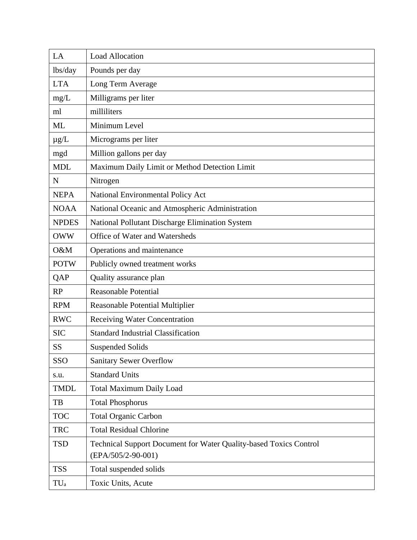| LA              | <b>Load Allocation</b>                                            |
|-----------------|-------------------------------------------------------------------|
| lbs/day         | Pounds per day                                                    |
| <b>LTA</b>      | Long Term Average                                                 |
| mg/L            | Milligrams per liter                                              |
| ml              | milliliters                                                       |
| <b>ML</b>       | Minimum Level                                                     |
| $\mu$ g/L       | Micrograms per liter                                              |
| mgd             | Million gallons per day                                           |
| <b>MDL</b>      | Maximum Daily Limit or Method Detection Limit                     |
| $\mathbf N$     | Nitrogen                                                          |
| <b>NEPA</b>     | National Environmental Policy Act                                 |
| <b>NOAA</b>     | National Oceanic and Atmospheric Administration                   |
| <b>NPDES</b>    | National Pollutant Discharge Elimination System                   |
| <b>OWW</b>      | Office of Water and Watersheds                                    |
| O&M             | Operations and maintenance                                        |
| <b>POTW</b>     | Publicly owned treatment works                                    |
| QAP             | Quality assurance plan                                            |
| <b>RP</b>       | <b>Reasonable Potential</b>                                       |
| <b>RPM</b>      | Reasonable Potential Multiplier                                   |
| <b>RWC</b>      | Receiving Water Concentration                                     |
| <b>SIC</b>      | <b>Standard Industrial Classification</b>                         |
| <b>SS</b>       | <b>Suspended Solids</b>                                           |
| SSO             | <b>Sanitary Sewer Overflow</b>                                    |
| s.u.            | <b>Standard Units</b>                                             |
| <b>TMDL</b>     | <b>Total Maximum Daily Load</b>                                   |
| TB              | <b>Total Phosphorus</b>                                           |
| <b>TOC</b>      | <b>Total Organic Carbon</b>                                       |
| <b>TRC</b>      | <b>Total Residual Chlorine</b>                                    |
| <b>TSD</b>      | Technical Support Document for Water Quality-based Toxics Control |
|                 | $(EPA/505/2-90-001)$                                              |
| <b>TSS</b>      | Total suspended solids                                            |
| TU <sub>a</sub> | Toxic Units, Acute                                                |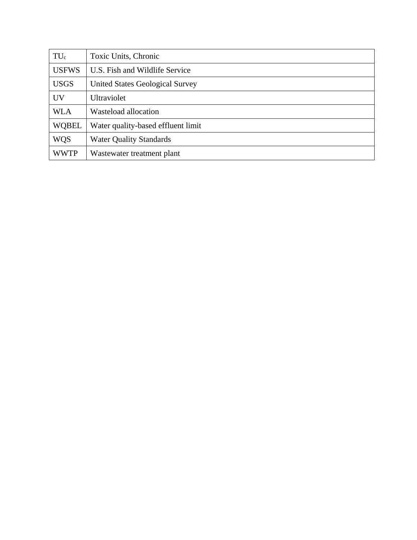| $TU_c$       | Toxic Units, Chronic                   |
|--------------|----------------------------------------|
| <b>USFWS</b> | U.S. Fish and Wildlife Service         |
| <b>USGS</b>  | <b>United States Geological Survey</b> |
| <b>UV</b>    | <b>Ultraviolet</b>                     |
| <b>WLA</b>   | Wasteload allocation                   |
| <b>WQBEL</b> | Water quality-based effluent limit     |
| <b>WQS</b>   | <b>Water Quality Standards</b>         |
| <b>WWTP</b>  | Wastewater treatment plant             |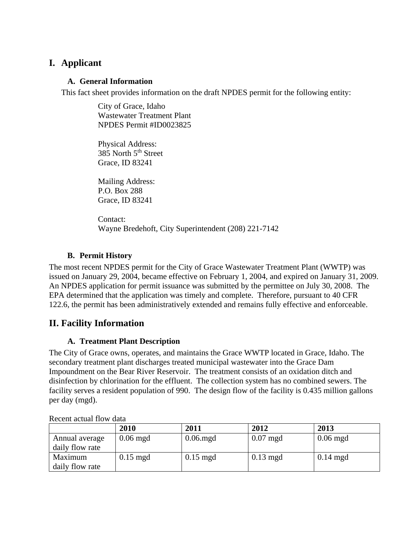#### **I. Applicant**

#### **A. General Information**

This fact sheet provides information on the draft NPDES permit for the following entity:

City of Grace, Idaho Wastewater Treatment Plant NPDES Permit #ID0023825

Physical Address: 385 North 5<sup>th</sup> Street Grace, ID 83241

Mailing Address: P.O. Box 288 Grace, ID 83241

Contact: Wayne Bredehoft, City Superintendent (208) 221-7142

#### **B. Permit History**

The most recent NPDES permit for the City of Grace Wastewater Treatment Plant (WWTP) was issued on January 29, 2004, became effective on February 1, 2004, and expired on January 31, 2009. An NPDES application for permit issuance was submitted by the permittee on July 30, 2008. The EPA determined that the application was timely and complete. Therefore, pursuant to 40 CFR 122.6, the permit has been administratively extended and remains fully effective and enforceable.

#### **II. Facility Information**

#### **A. Treatment Plant Description**

The City of Grace owns, operates, and maintains the Grace WWTP located in Grace, Idaho. The secondary treatment plant discharges treated municipal wastewater into the Grace Dam Impoundment on the Bear River Reservoir. The treatment consists of an oxidation ditch and disinfection by chlorination for the effluent. The collection system has no combined sewers. The facility serves a resident population of 990. The design flow of the facility is 0.435 million gallons per day (mgd).

|                 | 2010       | 2011        | 2012               | 2013               |
|-----------------|------------|-------------|--------------------|--------------------|
| Annual average  | $0.06$ mgd | $0.06$ .mgd | $0.07$ mgd         | $0.06$ mgd         |
| daily flow rate |            |             |                    |                    |
| Maximum         | $0.15$ mgd | $0.15$ mgd  | $0.13 \text{ mgd}$ | $0.14 \text{ mgd}$ |
| daily flow rate |            |             |                    |                    |

Recent actual flow data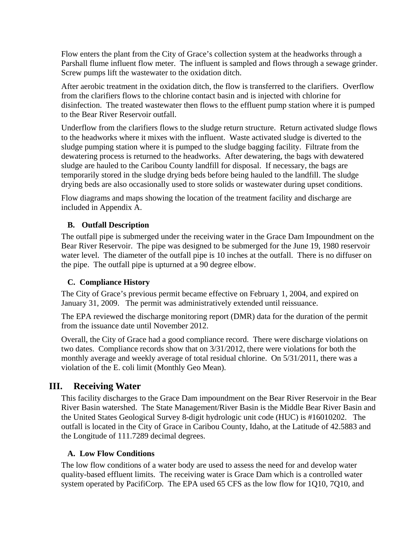Flow enters the plant from the City of Grace's collection system at the headworks through a Parshall flume influent flow meter. The influent is sampled and flows through a sewage grinder. Screw pumps lift the wastewater to the oxidation ditch.

After aerobic treatment in the oxidation ditch, the flow is transferred to the clarifiers. Overflow from the clarifiers flows to the chlorine contact basin and is injected with chlorine for disinfection. The treated wastewater then flows to the effluent pump station where it is pumped to the Bear River Reservoir outfall.

Underflow from the clarifiers flows to the sludge return structure. Return activated sludge flows to the headworks where it mixes with the influent. Waste activated sludge is diverted to the sludge pumping station where it is pumped to the sludge bagging facility. Filtrate from the dewatering process is returned to the headworks. After dewatering, the bags with dewatered sludge are hauled to the Caribou County landfill for disposal. If necessary, the bags are temporarily stored in the sludge drying beds before being hauled to the landfill. The sludge drying beds are also occasionally used to store solids or wastewater during upset conditions.

Flow diagrams and maps showing the location of the treatment facility and discharge are included in Appendix A.

#### **B. Outfall Description**

The outfall pipe is submerged under the receiving water in the Grace Dam Impoundment on the Bear River Reservoir. The pipe was designed to be submerged for the June 19, 1980 reservoir water level. The diameter of the outfall pipe is 10 inches at the outfall. There is no diffuser on the pipe. The outfall pipe is upturned at a 90 degree elbow.

#### **C. Compliance History**

The City of Grace's previous permit became effective on February 1, 2004, and expired on January 31, 2009. The permit was administratively extended until reissuance.

The EPA reviewed the discharge monitoring report (DMR) data for the duration of the permit from the issuance date until November 2012.

Overall, the City of Grace had a good compliance record. There were discharge violations on two dates. Compliance records show that on 3/31/2012, there were violations for both the monthly average and weekly average of total residual chlorine. On 5/31/2011, there was a violation of the E. coli limit (Monthly Geo Mean).

#### **III. Receiving Water**

This facility discharges to the Grace Dam impoundment on the Bear River Reservoir in the Bear River Basin watershed. The State Management/River Basin is the Middle Bear River Basin and the United States Geological Survey 8-digit hydrologic unit code (HUC) is #16010202. The outfall is located in the City of Grace in Caribou County, Idaho, at the Latitude of 42.5883 and the Longitude of 111.7289 decimal degrees.

#### **A. Low Flow Conditions**

The low flow conditions of a water body are used to assess the need for and develop water quality-based effluent limits. The receiving water is Grace Dam which is a controlled water system operated by PacifiCorp. The EPA used 65 CFS as the low flow for 1Q10, 7Q10, and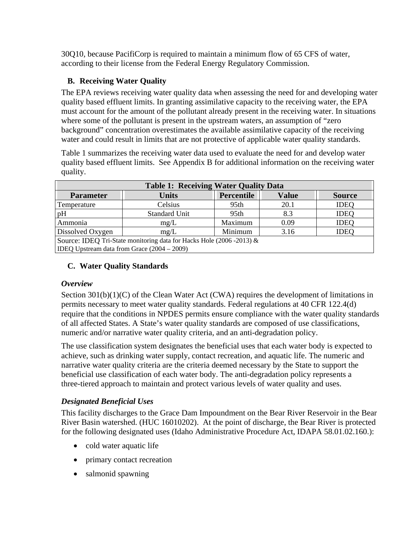30Q10, because PacifiCorp is required to maintain a minimum flow of 65 CFS of water, according to their license from the Federal Energy Regulatory Commission.

#### **B. Receiving Water Quality**

water and could result in limits that are not protective of applicable water quality standards. The EPA reviews receiving water quality data when assessing the need for and developing water quality based effluent limits. In granting assimilative capacity to the receiving water, the EPA must account for the amount of the pollutant already present in the receiving water. In situations where some of the pollutant is present in the upstream waters, an assumption of "zero background" concentration overestimates the available assimilative capacity of the receiving

Table 1 summarizes the receiving water data used to evaluate the need for and develop water quality based effluent limits. See Appendix B for additional information on the receiving water quality.

| <b>Table 1: Receiving Water Quality Data</b>                         |                      |                  |              |               |  |
|----------------------------------------------------------------------|----------------------|------------------|--------------|---------------|--|
| <b>Parameter</b>                                                     | <b>Units</b>         | Percentile       | <b>Value</b> | <b>Source</b> |  |
| Temperature                                                          | Celsius              | 95th             | 20.1         | <b>IDEQ</b>   |  |
| pH                                                                   | <b>Standard Unit</b> | 95 <sub>th</sub> | 8.3          | <b>IDEQ</b>   |  |
| Ammonia                                                              | mg/L                 | Maximum          | 0.09         | <b>IDEQ</b>   |  |
| Dissolved Oxygen<br>Minimum<br><b>IDEO</b><br>3.16<br>mg/L           |                      |                  |              |               |  |
| Source: IDEQ Tri-State monitoring data for Hacks Hole (2006 -2013) & |                      |                  |              |               |  |
| IDEQ Upstream data from Grace $(2004 – 2009)$                        |                      |                  |              |               |  |

#### **C. Water Quality Standards**

#### *Overview*

Section  $301(b)(1)(C)$  of the Clean Water Act (CWA) requires the development of limitations in permits necessary to meet water quality standards. Federal regulations at 40 CFR 122.4(d) require that the conditions in NPDES permits ensure compliance with the water quality standards of all affected States. A State's water quality standards are composed of use classifications, numeric and/or narrative water quality criteria, and an anti-degradation policy.

The use classification system designates the beneficial uses that each water body is expected to achieve, such as drinking water supply, contact recreation, and aquatic life. The numeric and narrative water quality criteria are the criteria deemed necessary by the State to support the beneficial use classification of each water body. The anti-degradation policy represents a three-tiered approach to maintain and protect various levels of water quality and uses.

#### *Designated Beneficial Uses*

This facility discharges to the Grace Dam Impoundment on the Bear River Reservoir in the Bear River Basin watershed. (HUC 16010202). At the point of discharge, the Bear River is protected for the following designated uses (Idaho Administrative Procedure Act, IDAPA 58.01.02.160.):

- cold water aquatic life
- primary contact recreation
- salmonid spawning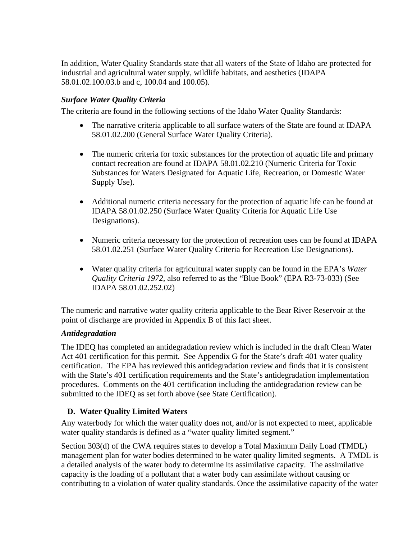In addition, Water Quality Standards state that all waters of the State of Idaho are protected for industrial and agricultural water supply, wildlife habitats, and aesthetics (IDAPA 58.01.02.100.03.b and c, 100.04 and 100.05).

#### *Surface Water Quality Criteria*

The criteria are found in the following sections of the Idaho Water Quality Standards:

- The narrative criteria applicable to all surface waters of the State are found at IDAPA 58.01.02.200 (General Surface Water Quality Criteria).
- The numeric criteria for toxic substances for the protection of aquatic life and primary contact recreation are found at IDAPA 58.01.02.210 (Numeric Criteria for Toxic Substances for Waters Designated for Aquatic Life, Recreation, or Domestic Water Supply Use).
- Additional numeric criteria necessary for the protection of aquatic life can be found at IDAPA 58.01.02.250 (Surface Water Quality Criteria for Aquatic Life Use Designations).
- Numeric criteria necessary for the protection of recreation uses can be found at IDAPA 58.01.02.251 (Surface Water Quality Criteria for Recreation Use Designations).
- Water quality criteria for agricultural water supply can be found in the EPA's *Water Quality Criteria 1972*, also referred to as the "Blue Book" (EPA R3-73-033) (See IDAPA 58.01.02.252.02)

The numeric and narrative water quality criteria applicable to the Bear River Reservoir at the point of discharge are provided in Appendix B of this fact sheet.

#### *Antidegradation*

The IDEQ has completed an antidegradation review which is included in the draft Clean Water Act 401 certification for this permit. See Appendix G for the State's draft 401 water quality certification. The EPA has reviewed this antidegradation review and finds that it is consistent with the State's 401 certification requirements and the State's antidegradation implementation procedures. Comments on the 401 certification including the antidegradation review can be submitted to the IDEQ as set forth above (see State Certification).

#### **D. Water Quality Limited Waters**

Any waterbody for which the water quality does not, and/or is not expected to meet, applicable water quality standards is defined as a "water quality limited segment."

Section 303(d) of the CWA requires states to develop a Total Maximum Daily Load (TMDL) management plan for water bodies determined to be water quality limited segments. A TMDL is a detailed analysis of the water body to determine its assimilative capacity. The assimilative capacity is the loading of a pollutant that a water body can assimilate without causing or contributing to a violation of water quality standards. Once the assimilative capacity of the water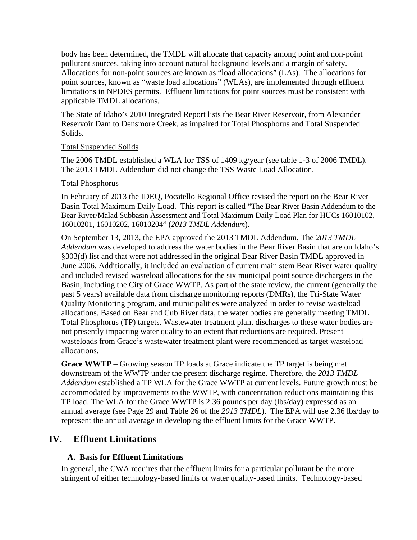body has been determined, the TMDL will allocate that capacity among point and non-point pollutant sources, taking into account natural background levels and a margin of safety. Allocations for non-point sources are known as "load allocations" (LAs). The allocations for point sources, known as "waste load allocations" (WLAs), are implemented through effluent limitations in NPDES permits. Effluent limitations for point sources must be consistent with applicable TMDL allocations.

The State of Idaho's 2010 Integrated Report lists the Bear River Reservoir, from Alexander Reservoir Dam to Densmore Creek, as impaired for Total Phosphorus and Total Suspended Solids.

#### Total Suspended Solids

The 2006 TMDL established a WLA for TSS of 1409 kg/year (see table 1-3 of 2006 TMDL). The 2013 TMDL Addendum did not change the TSS Waste Load Allocation.

#### Total Phosphorus

In February of 2013 the IDEQ, Pocatello Regional Office revised the report on the Bear River Basin Total Maximum Daily Load. This report is called "The Bear River Basin Addendum to the Bear River/Malad Subbasin Assessment and Total Maximum Daily Load Plan for HUCs 16010102, 16010201, 16010202, 16010204" (*2013 TMDL Addendum*).

On September 13, 2013, the EPA approved the 2013 TMDL Addendum, The *2013 TMDL Addendum* was developed to address the water bodies in the Bear River Basin that are on Idaho's §303(d) list and that were not addressed in the original Bear River Basin TMDL approved in June 2006. Additionally, it included an evaluation of current main stem Bear River water quality and included revised wasteload allocations for the six municipal point source dischargers in the Basin, including the City of Grace WWTP. As part of the state review, the current (generally the past 5 years) available data from discharge monitoring reports (DMRs), the Tri-State Water Quality Monitoring program, and municipalities were analyzed in order to revise wasteload allocations. Based on Bear and Cub River data, the water bodies are generally meeting TMDL Total Phosphorus (TP) targets. Wastewater treatment plant discharges to these water bodies are not presently impacting water quality to an extent that reductions are required. Present wasteloads from Grace's wastewater treatment plant were recommended as target wasteload allocations.

**Grace WWTP** – Growing season TP loads at Grace indicate the TP target is being met downstream of the WWTP under the present discharge regime. Therefore, the *2013 TMDL Addendum* established a TP WLA for the Grace WWTP at current levels. Future growth must be accommodated by improvements to the WWTP, with concentration reductions maintaining this TP load. The WLA for the Grace WWTP is 2.36 pounds per day (lbs/day) expressed as an annual average (see Page 29 and Table 26 of the *2013 TMDL*). The EPA will use 2.36 lbs/day to represent the annual average in developing the effluent limits for the Grace WWTP.

#### **IV. Effluent Limitations**

#### **A. Basis for Effluent Limitations**

In general, the CWA requires that the effluent limits for a particular pollutant be the more stringent of either technology-based limits or water quality-based limits. Technology-based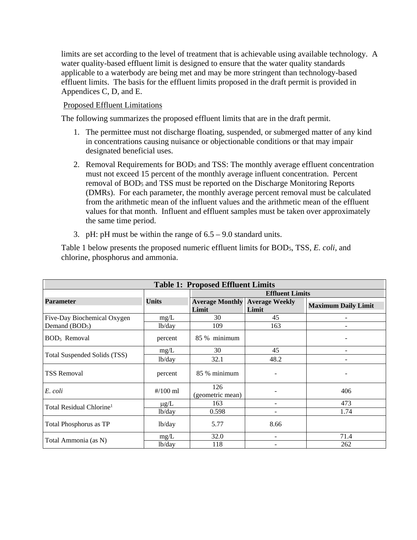limits are set according to the level of treatment that is achievable using available technology. A water quality-based effluent limit is designed to ensure that the water quality standards applicable to a waterbody are being met and may be more stringent than technology-based effluent limits. The basis for the effluent limits proposed in the draft permit is provided in Appendices C, D, and E.

#### Proposed Effluent Limitations

The following summarizes the proposed effluent limits that are in the draft permit.

- 1. The permittee must not discharge floating, suspended, or submerged matter of any kind in concentrations causing nuisance or objectionable conditions or that may impair designated beneficial uses.
- 2. Removal Requirements for BOD<sub>5</sub> and TSS: The monthly average effluent concentration must not exceed 15 percent of the monthly average influent concentration. Percent removal of BOD5 and TSS must be reported on the Discharge Monitoring Reports (DMRs). For each parameter, the monthly average percent removal must be calculated from the arithmetic mean of the influent values and the arithmetic mean of the effluent values for that month. Influent and effluent samples must be taken over approximately the same time period.
- 3. pH: pH must be within the range of  $6.5 9.0$  standard units.

Table 1 below presents the proposed numeric effluent limits for BOD5, TSS, *E. coli*, and chlorine, phosphorus and ammonia.

| <b>Table 1: Proposed Effluent Limits</b> |                           |                                                |                        |                            |  |  |
|------------------------------------------|---------------------------|------------------------------------------------|------------------------|----------------------------|--|--|
|                                          |                           |                                                | <b>Effluent Limits</b> |                            |  |  |
| <b>Parameter</b>                         | <b>Units</b>              | <b>Average Monthly Average Weekly</b><br>Limit | Limit                  | <b>Maximum Daily Limit</b> |  |  |
| Five-Day Biochemical Oxygen              | mg/L                      | 30                                             | 45                     |                            |  |  |
| Demand (BOD <sub>5</sub> )               | lb/day                    | 109                                            | 163                    |                            |  |  |
| BOD <sub>5</sub> Removal                 | percent                   | 85 % minimum                                   |                        |                            |  |  |
|                                          | mg/L                      | 30                                             | 45                     | ۰                          |  |  |
| Total Suspended Solids (TSS)             | lb/day                    | 32.1                                           | 48.2                   |                            |  |  |
| <b>TSS Removal</b>                       | percent                   | 85 % minimum                                   |                        |                            |  |  |
| E. coli                                  | $\frac{\text{#}}{100}$ ml | 126<br>(geometric mean)                        |                        | 406                        |  |  |
| Total Residual Chlorine <sup>1</sup>     | $\mu$ g/L                 | 163                                            |                        | 473                        |  |  |
|                                          | lb/day                    | 0.598                                          |                        | 1.74                       |  |  |
| Total Phosphorus as TP                   | lb/day                    | 5.77                                           | 8.66                   |                            |  |  |
|                                          | mg/L                      | 32.0                                           |                        | 71.4                       |  |  |
| Total Ammonia (as N)                     | lb/day                    | 118                                            |                        | 262                        |  |  |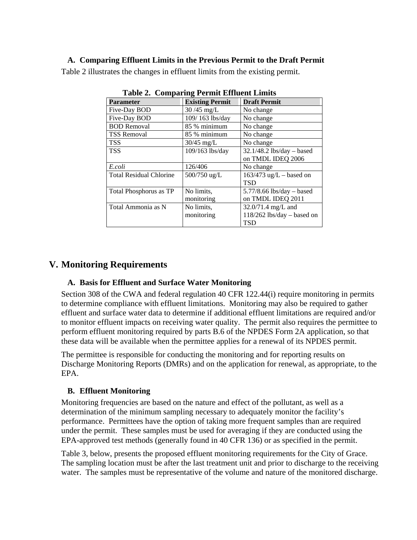#### **A. Comparing Effluent Limits in the Previous Permit to the Draft Permit**

Table 2 illustrates the changes in effluent limits from the existing permit.

| <b>Parameter</b>               | <b>Existing Permit</b> | <b>Draft Permit</b>         |  |  |  |
|--------------------------------|------------------------|-----------------------------|--|--|--|
| Five-Day BOD                   | $30/45$ mg/L           | No change                   |  |  |  |
| Five-Day BOD                   | 109/163 lbs/day        | No change                   |  |  |  |
| <b>BOD</b> Removal             | 85 % minimum           | No change                   |  |  |  |
| <b>TSS Removal</b>             | 85 % minimum           | No change                   |  |  |  |
| <b>TSS</b>                     | $30/45$ mg/L           | No change                   |  |  |  |
| <b>TSS</b>                     | 109/163 lbs/day        | 32.1/48.2 lbs/day - based   |  |  |  |
|                                |                        | on TMDL IDEQ 2006           |  |  |  |
| E.coli                         | 126/406                | No change                   |  |  |  |
| <b>Total Residual Chlorine</b> | 500/750 ug/L           | $163/473$ ug/L – based on   |  |  |  |
|                                |                        | <b>TSD</b>                  |  |  |  |
| Total Phosphorus as TP         | No limits,             | $5.77/8.66$ lbs/day – based |  |  |  |
|                                | monitoring             | on TMDL IDEQ 2011           |  |  |  |
| Total Ammonia as N             | No limits.             | $32.0/71.4$ mg/L and        |  |  |  |
|                                | monitoring             | 118/262 lbs/day - based on  |  |  |  |
|                                |                        | <b>TSD</b>                  |  |  |  |

**Table 2. Comparing Permit Effluent Limits** 

#### **V. Monitoring Requirements**

#### **A. Basis for Effluent and Surface Water Monitoring**

Section 308 of the CWA and federal regulation 40 CFR 122.44(i) require monitoring in permits to determine compliance with effluent limitations. Monitoring may also be required to gather effluent and surface water data to determine if additional effluent limitations are required and/or to monitor effluent impacts on receiving water quality. The permit also requires the permittee to perform effluent monitoring required by parts B.6 of the NPDES Form 2A application, so that these data will be available when the permittee applies for a renewal of its NPDES permit.

The permittee is responsible for conducting the monitoring and for reporting results on Discharge Monitoring Reports (DMRs) and on the application for renewal, as appropriate, to the EPA.

#### **B. Effluent Monitoring**

Monitoring frequencies are based on the nature and effect of the pollutant, as well as a determination of the minimum sampling necessary to adequately monitor the facility's performance. Permittees have the option of taking more frequent samples than are required under the permit. These samples must be used for averaging if they are conducted using the EPA-approved test methods (generally found in 40 CFR 136) or as specified in the permit.

Table 3, below, presents the proposed effluent monitoring requirements for the City of Grace. The sampling location must be after the last treatment unit and prior to discharge to the receiving water. The samples must be representative of the volume and nature of the monitored discharge.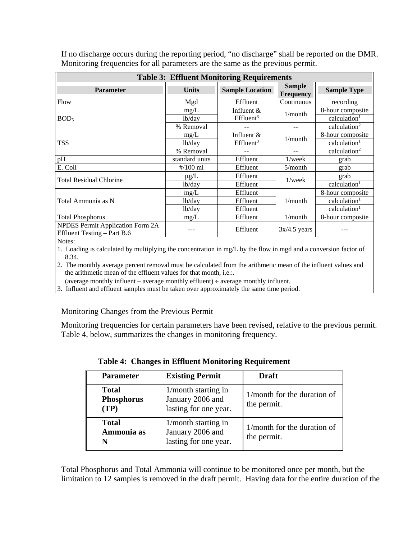| <b>Table 3: Effluent Monitoring Requirements</b>                                |                     |                        |                                   |                          |
|---------------------------------------------------------------------------------|---------------------|------------------------|-----------------------------------|--------------------------|
| <b>Parameter</b>                                                                | <b>Units</b>        | <b>Sample Location</b> | <b>Sample</b><br><b>Frequency</b> | <b>Sample Type</b>       |
| Flow                                                                            | Mgd                 | Effluent               | Continuous                        | recording                |
|                                                                                 | mg/L                | Influent $&$           | 1/month                           | 8-hour composite         |
| BOD <sub>5</sub>                                                                | lb/day              | Effluent <sup>3</sup>  |                                   | calculation <sup>1</sup> |
|                                                                                 | % Removal           |                        |                                   | calculation <sup>2</sup> |
|                                                                                 | mg/L                | Influent $&$           | 1/month                           | 8-hour composite         |
| <b>TSS</b>                                                                      | 1 <sub>b</sub> /day | Effluent <sup>3</sup>  |                                   | calculation <sup>1</sup> |
|                                                                                 | % Removal           |                        |                                   | calculation <sup>2</sup> |
| pH                                                                              | standard units      | Effluent               | $1$ /week                         | grab                     |
| E. Coli                                                                         | $\frac{\#}{100}$ ml | Effluent               | 5/month                           | grab                     |
| <b>Total Residual Chlorine</b>                                                  | $\mu$ g/L           | Effluent               | $1$ /week                         | grab                     |
|                                                                                 | lb/day              | Effluent               |                                   | calculation <sup>1</sup> |
|                                                                                 | mg/L                | Effluent               |                                   | 8-hour composite         |
| Total Ammonia as N                                                              | lb/day              | Effluent               | 1/month                           | calculation <sup>1</sup> |
|                                                                                 | 1 <sub>b</sub> /day | Effluent               |                                   | calculation <sup>1</sup> |
| <b>Total Phosphorus</b>                                                         | mg/L                | Effluent               | 1/month                           | 8-hour composite         |
| NPDES Permit Application Form 2A<br>Effluent Testing - Part B.6<br>$\mathbf{M}$ |                     | Effluent               | $3x/4.5$ years                    |                          |

If no discharge occurs during the reporting period, "no discharge" shall be reported on the DMR. Monitoring frequencies for all parameters are the same as the previous permit.

Notes:

 1. Loading is calculated by multiplying the concentration in mg/L by the flow in mgd and a conversion factor of 8.34.

2. The monthly average percent removal must be calculated from the arithmetic mean of the influent values and the arithmetic mean of the effluent values for that month, i.e.:.

(average monthly influent – average monthly effluent)  $\div$  average monthly influent.

3. Influent and effluent samples must be taken over approximately the same time period.

Monitoring Changes from the Previous Permit

Monitoring frequencies for certain parameters have been revised, relative to the previous permit. Table 4, below, summarizes the changes in monitoring frequency.

| <b>Table 4: Changes in Effluent Monitoring Requirement</b> |                                                                     |                                            |  |
|------------------------------------------------------------|---------------------------------------------------------------------|--------------------------------------------|--|
| <b>Parameter</b>                                           | <b>Existing Permit</b>                                              | <b>Draft</b>                               |  |
| Total<br><b>Phosphorus</b><br>(TP)                         | $1/m$ onth starting in<br>January 2006 and<br>lasting for one year. | 1/month for the duration of<br>the permit. |  |
| <b>Total</b><br>Ammonia as                                 | $1/m$ onth starting in<br>January 2006 and<br>lasting for one year. | 1/month for the duration of<br>the permit. |  |

Total Phosphorus and Total Ammonia will continue to be monitored once per month, but the limitation to 12 samples is removed in the draft permit. Having data for the entire duration of the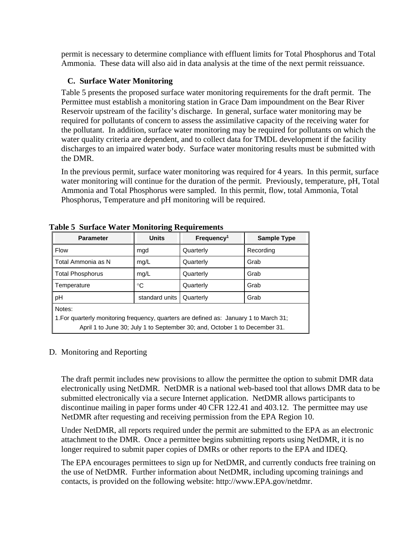permit is necessary to determine compliance with effluent limits for Total Phosphorus and Total Ammonia. These data will also aid in data analysis at the time of the next permit reissuance.

#### **C. Surface Water Monitoring**

Table 5 presents the proposed surface water monitoring requirements for the draft permit. The Permittee must establish a monitoring station in Grace Dam impoundment on the Bear River Reservoir upstream of the facility's discharge. In general, surface water monitoring may be required for pollutants of concern to assess the assimilative capacity of the receiving water for the pollutant. In addition, surface water monitoring may be required for pollutants on which the water quality criteria are dependent, and to collect data for TMDL development if the facility discharges to an impaired water body. Surface water monitoring results must be submitted with the DMR.

In the previous permit, surface water monitoring was required for 4 years. In this permit, surface water monitoring will continue for the duration of the permit. Previously, temperature, pH, Total Ammonia and Total Phosphorus were sampled. In this permit, flow, total Ammonia, Total Phosphorus, Temperature and pH monitoring will be required.

| <b>Parameter</b>                                                                                                                                                               | o<br><b>Units</b> | Frequency <sup>1</sup> | <b>Sample Type</b> |  |  |
|--------------------------------------------------------------------------------------------------------------------------------------------------------------------------------|-------------------|------------------------|--------------------|--|--|
| <b>Flow</b>                                                                                                                                                                    | mgd               | Quarterly              | Recording          |  |  |
| Total Ammonia as N                                                                                                                                                             | mg/L              | Quarterly              | Grab               |  |  |
| <b>Total Phosphorus</b>                                                                                                                                                        | mg/L              | Quarterly              | Grab               |  |  |
| Temperature                                                                                                                                                                    | °C                | Quarterly              | Grab               |  |  |
| pH<br>standard units                                                                                                                                                           |                   | Quarterly              | Grab               |  |  |
| Notes:<br>1. For quarterly monitoring frequency, quarters are defined as: January 1 to March 31;<br>April 1 to June 30; July 1 to September 30; and, October 1 to December 31. |                   |                        |                    |  |  |

|  |  | <b>Table 5 Surface Water Monitoring Requirements</b> |
|--|--|------------------------------------------------------|
|  |  |                                                      |

#### D. Monitoring and Reporting

The draft permit includes new provisions to allow the permittee the option to submit DMR data electronically using NetDMR. NetDMR is a national web-based tool that allows DMR data to be submitted electronically via a secure Internet application. NetDMR allows participants to discontinue mailing in paper forms under 40 CFR 122.41 and 403.12. The permittee may use NetDMR after requesting and receiving permission from the EPA Region 10.

Under NetDMR, all reports required under the permit are submitted to the EPA as an electronic attachment to the DMR. Once a permittee begins submitting reports using NetDMR, it is no longer required to submit paper copies of DMRs or other reports to the EPA and IDEQ.

The EPA encourages permittees to sign up for NetDMR, and currently conducts free training on the use of NetDMR. Further information about NetDMR, including upcoming trainings and contacts, is provided on the following website: http://www.EPA.gov/netdmr.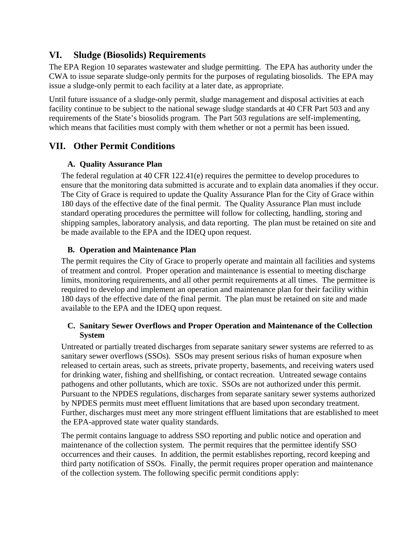### **VI. Sludge (Biosolids) Requirements**

The EPA Region 10 separates wastewater and sludge permitting. The EPA has authority under the CWA to issue separate sludge-only permits for the purposes of regulating biosolids. The EPA may issue a sludge-only permit to each facility at a later date, as appropriate.

Until future issuance of a sludge-only permit, sludge management and disposal activities at each facility continue to be subject to the national sewage sludge standards at 40 CFR Part 503 and any requirements of the State's biosolids program. The Part 503 regulations are self-implementing, which means that facilities must comply with them whether or not a permit has been issued.

### **VII. Other Permit Conditions**

#### **A. Quality Assurance Plan**

The federal regulation at 40 CFR 122.41(e) requires the permittee to develop procedures to ensure that the monitoring data submitted is accurate and to explain data anomalies if they occur. The City of Grace is required to update the Quality Assurance Plan for the City of Grace within 180 days of the effective date of the final permit. The Quality Assurance Plan must include standard operating procedures the permittee will follow for collecting, handling, storing and shipping samples, laboratory analysis, and data reporting. The plan must be retained on site and be made available to the EPA and the IDEQ upon request.

#### **B. Operation and Maintenance Plan**

The permit requires the City of Grace to properly operate and maintain all facilities and systems of treatment and control. Proper operation and maintenance is essential to meeting discharge limits, monitoring requirements, and all other permit requirements at all times. The permittee is required to develop and implement an operation and maintenance plan for their facility within 180 days of the effective date of the final permit. The plan must be retained on site and made available to the EPA and the IDEQ upon request.

#### **C. Sanitary Sewer Overflows and Proper Operation and Maintenance of the Collection System**

Untreated or partially treated discharges from separate sanitary sewer systems are referred to as sanitary sewer overflows (SSOs). SSOs may present serious risks of human exposure when released to certain areas, such as streets, private property, basements, and receiving waters used for drinking water, fishing and shellfishing, or contact recreation. Untreated sewage contains pathogens and other pollutants, which are toxic. SSOs are not authorized under this permit. Pursuant to the NPDES regulations, discharges from separate sanitary sewer systems authorized by NPDES permits must meet effluent limitations that are based upon secondary treatment. Further, discharges must meet any more stringent effluent limitations that are established to meet the EPA-approved state water quality standards.

The permit contains language to address SSO reporting and public notice and operation and maintenance of the collection system. The permit requires that the permittee identify SSO occurrences and their causes. In addition, the permit establishes reporting, record keeping and third party notification of SSOs. Finally, the permit requires proper operation and maintenance of the collection system. The following specific permit conditions apply: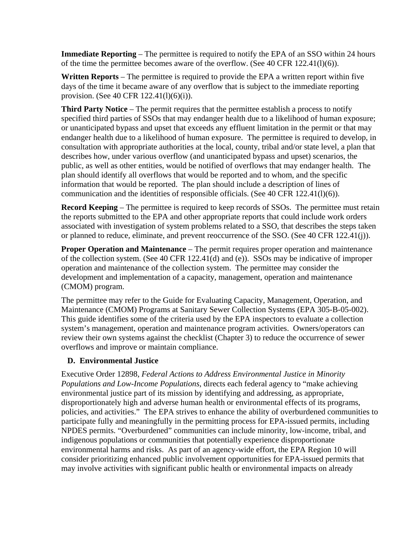**Immediate Reporting** – The permittee is required to notify the EPA of an SSO within 24 hours of the time the permittee becomes aware of the overflow. (See 40 CFR 122.41(l)(6)).

**Written Reports** – The permittee is required to provide the EPA a written report within five days of the time it became aware of any overflow that is subject to the immediate reporting provision. (See 40 CFR 122.41(l)(6)(i)).

**Third Party Notice** – The permit requires that the permittee establish a process to notify specified third parties of SSOs that may endanger health due to a likelihood of human exposure; or unanticipated bypass and upset that exceeds any effluent limitation in the permit or that may endanger health due to a likelihood of human exposure. The permittee is required to develop, in consultation with appropriate authorities at the local, county, tribal and/or state level, a plan that describes how, under various overflow (and unanticipated bypass and upset) scenarios, the public, as well as other entities, would be notified of overflows that may endanger health. The plan should identify all overflows that would be reported and to whom, and the specific information that would be reported. The plan should include a description of lines of communication and the identities of responsible officials. (See 40 CFR 122.41(l)(6)).

**Record Keeping** – The permittee is required to keep records of SSOs. The permittee must retain the reports submitted to the EPA and other appropriate reports that could include work orders associated with investigation of system problems related to a SSO, that describes the steps taken or planned to reduce, eliminate, and prevent reoccurrence of the SSO. (See 40 CFR 122.41(j)).

**Proper Operation and Maintenance** – The permit requires proper operation and maintenance of the collection system. (See 40 CFR 122.41(d) and (e)). SSOs may be indicative of improper operation and maintenance of the collection system. The permittee may consider the development and implementation of a capacity, management, operation and maintenance (CMOM) program.

The permittee may refer to the Guide for Evaluating Capacity, Management, Operation, and Maintenance (CMOM) Programs at Sanitary Sewer Collection Systems (EPA 305-B-05-002). This guide identifies some of the criteria used by the EPA inspectors to evaluate a collection system's management, operation and maintenance program activities. Owners/operators can review their own systems against the checklist (Chapter 3) to reduce the occurrence of sewer overflows and improve or maintain compliance.

#### **D. Environmental Justice**

Executive Order 12898, *Federal Actions to Address Environmental Justice in Minority Populations and Low-Income Populations*, directs each federal agency to "make achieving environmental justice part of its mission by identifying and addressing, as appropriate, disproportionately high and adverse human health or environmental effects of its programs, policies, and activities." The EPA strives to enhance the ability of overburdened communities to participate fully and meaningfully in the permitting process for EPA-issued permits, including NPDES permits. "Overburdened" communities can include minority, low-income, tribal, and indigenous populations or communities that potentially experience disproportionate environmental harms and risks. As part of an agency-wide effort, the EPA Region 10 will consider prioritizing enhanced public involvement opportunities for EPA-issued permits that may involve activities with significant public health or environmental impacts on already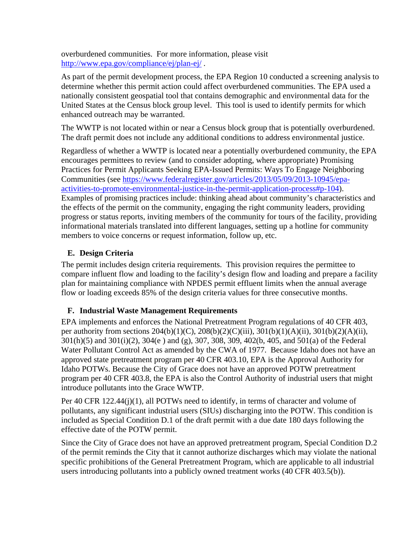overburdened communities. For more information, please visit http://www.epa.gov/compliance/ej/plan-ej/ .

As part of the permit development process, the EPA Region 10 conducted a screening analysis to determine whether this permit action could affect overburdened communities. The EPA used a nationally consistent geospatial tool that contains demographic and environmental data for the United States at the Census block group level. This tool is used to identify permits for which enhanced outreach may be warranted.

The WWTP is not located within or near a Census block group that is potentially overburdened. The draft permit does not include any additional conditions to address environmental justice.

Regardless of whether a WWTP is located near a potentially overburdened community, the EPA encourages permittees to review (and to consider adopting, where appropriate) Promising Practices for Permit Applicants Seeking EPA-Issued Permits: Ways To Engage Neighboring Communities (see https://www.federalregister.gov/articles/2013/05/09/2013-10945/epaactivities-to-promote-environmental-justice-in-the-permit-application-process#p-104). Examples of promising practices include: thinking ahead about community's characteristics and the effects of the permit on the community, engaging the right community leaders, providing progress or status reports, inviting members of the community for tours of the facility, providing informational materials translated into different languages, setting up a hotline for community members to voice concerns or request information, follow up, etc.

#### **E. Design Criteria**

The permit includes design criteria requirements. This provision requires the permittee to compare influent flow and loading to the facility's design flow and loading and prepare a facility plan for maintaining compliance with NPDES permit effluent limits when the annual average flow or loading exceeds 85% of the design criteria values for three consecutive months.

#### **F. Industrial Waste Management Requirements**

EPA implements and enforces the National Pretreatment Program regulations of 40 CFR 403, per authority from sections  $204(b)(1)(C)$ ,  $208(b)(2)(C)(iii)$ ,  $301(b)(1)(A)(ii)$ ,  $301(b)(2)(A)(ii)$ , 301(h)(5) and 301(i)(2), 304(e ) and (g), 307, 308, 309, 402(b, 405, and 501(a) of the Federal Water Pollutant Control Act as amended by the CWA of 1977. Because Idaho does not have an approved state pretreatment program per 40 CFR 403.10, EPA is the Approval Authority for Idaho POTWs. Because the City of Grace does not have an approved POTW pretreatment program per 40 CFR 403.8, the EPA is also the Control Authority of industrial users that might introduce pollutants into the Grace WWTP.

Per 40 CFR 122.44(j)(1), all POTWs need to identify, in terms of character and volume of pollutants, any significant industrial users (SIUs) discharging into the POTW. This condition is included as Special Condition D.1 of the draft permit with a due date 180 days following the effective date of the POTW permit.

Since the City of Grace does not have an approved pretreatment program, Special Condition D.2 of the permit reminds the City that it cannot authorize discharges which may violate the national specific prohibitions of the General Pretreatment Program, which are applicable to all industrial users introducing pollutants into a publicly owned treatment works (40 CFR 403.5(b)).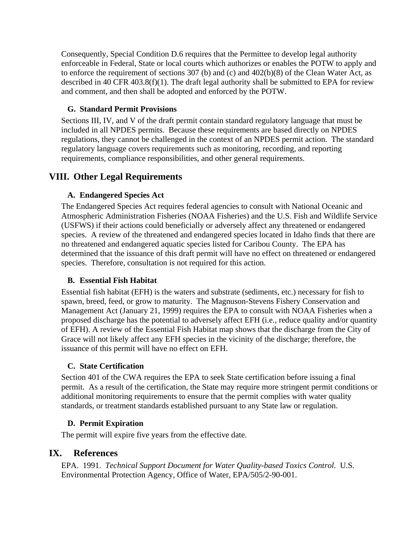Consequently, Special Condition D.6 requires that the Permittee to develop legal authority enforceable in Federal, State or local courts which authorizes or enables the POTW to apply and to enforce the requirement of sections 307 (b) and (c) and 402(b)(8) of the Clean Water Act, as described in 40 CFR 403.8(f)(1). The draft legal authority shall be submitted to EPA for review and comment, and then shall be adopted and enforced by the POTW.

#### **G. Standard Permit Provisions**

Sections III, IV, and V of the draft permit contain standard regulatory language that must be included in all NPDES permits. Because these requirements are based directly on NPDES regulations, they cannot be challenged in the context of an NPDES permit action. The standard regulatory language covers requirements such as monitoring, recording, and reporting requirements, compliance responsibilities, and other general requirements.

#### **VIII. Other Legal Requirements**

#### **A. Endangered Species Act**

The Endangered Species Act requires federal agencies to consult with National Oceanic and Atmospheric Administration Fisheries (NOAA Fisheries) and the U.S. Fish and Wildlife Service (USFWS) if their actions could beneficially or adversely affect any threatened or endangered species. A review of the threatened and endangered species located in Idaho finds that there are no threatened and endangered aquatic species listed for Caribou County. The EPA has determined that the issuance of this draft permit will have no effect on threatened or endangered species. Therefore, consultation is not required for this action.

#### **B. Essential Fish Habitat**

Essential fish habitat (EFH) is the waters and substrate (sediments, etc.) necessary for fish to spawn, breed, feed, or grow to maturity. The Magnuson-Stevens Fishery Conservation and Management Act (January 21, 1999) requires the EPA to consult with NOAA Fisheries when a proposed discharge has the potential to adversely affect EFH (i.e., reduce quality and/or quantity of EFH). A review of the Essential Fish Habitat map shows that the discharge from the City of Grace will not likely affect any EFH species in the vicinity of the discharge; therefore, the issuance of this permit will have no effect on EFH.

#### **C. State Certification**

Section 401 of the CWA requires the EPA to seek State certification before issuing a final permit. As a result of the certification, the State may require more stringent permit conditions or additional monitoring requirements to ensure that the permit complies with water quality standards, or treatment standards established pursuant to any State law or regulation.

#### **D. Permit Expiration**

The permit will expire five years from the effective date.

#### **IX. References**

EPA. 1991. *Technical Support Document for Water Quality-based Toxics Control.* U.S. Environmental Protection Agency, Office of Water, EPA/505/2-90-001.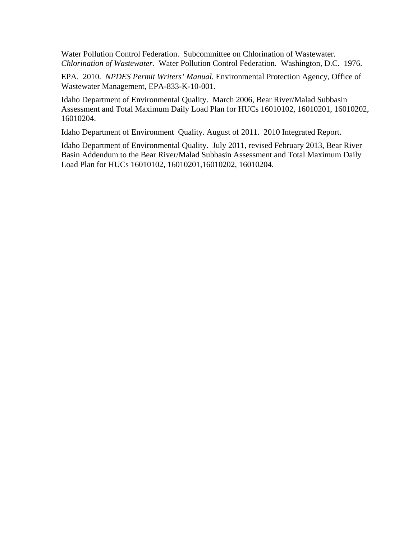Water Pollution Control Federation. Subcommittee on Chlorination of Wastewater. *Chlorination of Wastewater.* Water Pollution Control Federation. Washington, D.C. 1976.

EPA. 2010. *NPDES Permit Writers' Manual.* Environmental Protection Agency, Office of Wastewater Management, EPA-833-K-10-001.

Idaho Department of Environmental Quality. March 2006, Bear River/Malad Subbasin Assessment and Total Maximum Daily Load Plan for HUCs 16010102, 16010201, 16010202, 16010204.

Idaho Department of Environment Quality. August of 2011. 2010 Integrated Report.

Idaho Department of Environmental Quality. July 2011, revised February 2013, Bear River Basin Addendum to the Bear River/Malad Subbasin Assessment and Total Maximum Daily Load Plan for HUCs 16010102, 16010201,16010202, 16010204.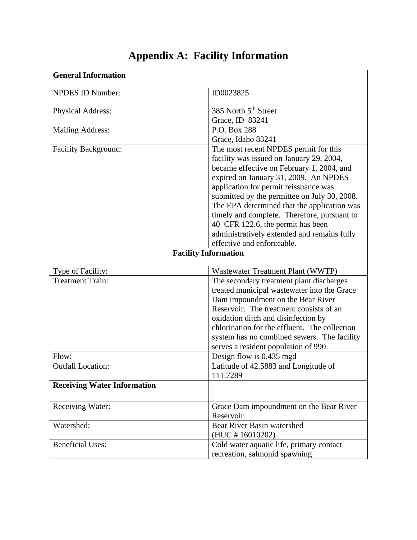| <b>General Information</b>         |                                               |
|------------------------------------|-----------------------------------------------|
| <b>NPDES ID Number:</b>            | ID0023825                                     |
| Physical Address:                  | 385 North 5 <sup>th</sup> Street              |
|                                    | Grace, ID 83241                               |
| <b>Mailing Address:</b>            | P.O. Box 288                                  |
|                                    | Grace, Idaho 83241                            |
| Facility Background:               | The most recent NPDES permit for this         |
|                                    | facility was issued on January 29, 2004,      |
|                                    | became effective on February 1, 2004, and     |
|                                    | expired on January 31, 2009. An NPDES         |
|                                    | application for permit reissuance was         |
|                                    | submitted by the permittee on July 30, 2008.  |
|                                    | The EPA determined that the application was   |
|                                    | timely and complete. Therefore, pursuant to   |
|                                    | 40 CFR 122.6, the permit has been             |
|                                    | administratively extended and remains fully   |
|                                    | effective and enforceable.                    |
|                                    | <b>Facility Information</b>                   |
| Type of Facility:                  | Wastewater Treatment Plant (WWTP)             |
| <b>Treatment Train:</b>            | The secondary treatment plant discharges      |
|                                    | treated municipal wastewater into the Grace   |
|                                    | Dam impoundment on the Bear River             |
|                                    | Reservoir. The treatment consists of an       |
|                                    | oxidation ditch and disinfection by           |
|                                    | chlorination for the effluent. The collection |
|                                    | system has no combined sewers. The facility   |
|                                    | serves a resident population of 990.          |
| Flow:                              | Design flow is 0.435 mgd                      |
| <b>Outfall Location:</b>           | Latitude of 42.5883 and Longitude of          |
|                                    | 111.7289                                      |
| <b>Receiving Water Information</b> |                                               |
| Receiving Water:                   | Grace Dam impoundment on the Bear River       |
|                                    | Reservoir                                     |
| Watershed:                         | Bear River Basin watershed                    |
|                                    | (HUC #16010202)                               |
| <b>Beneficial Uses:</b>            | Cold water aquatic life, primary contact      |
|                                    | recreation, salmonid spawning                 |

# **Appendix A: Facility Information**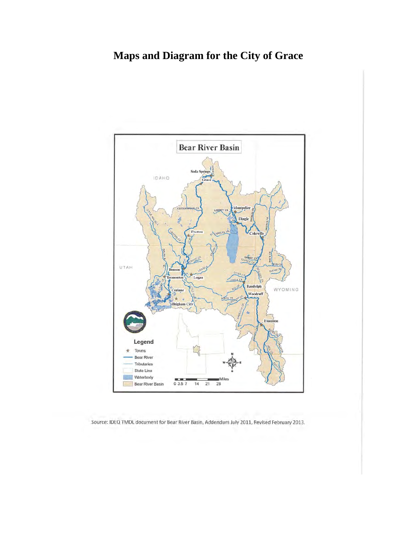# **Maps and Diagram for the City of Grace**



Source: IDEQ TMDL document for Bear River Basin, Addendum July 2011, Revised February 2013.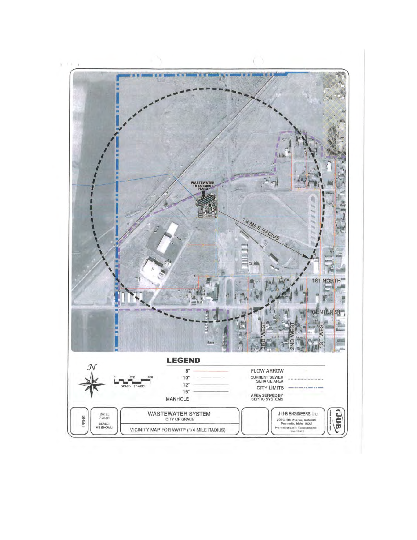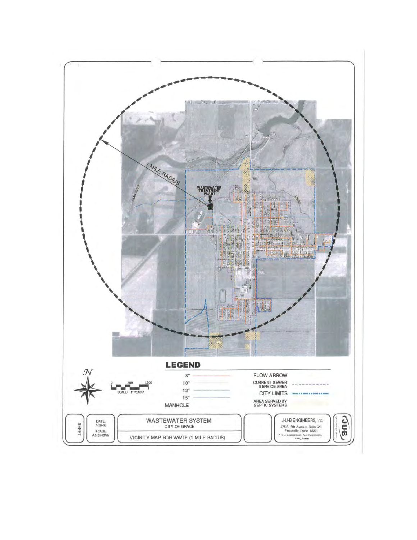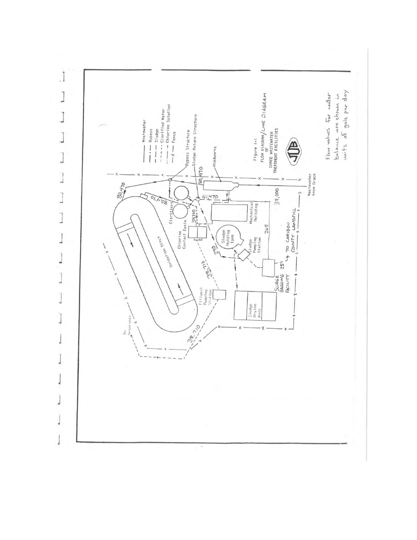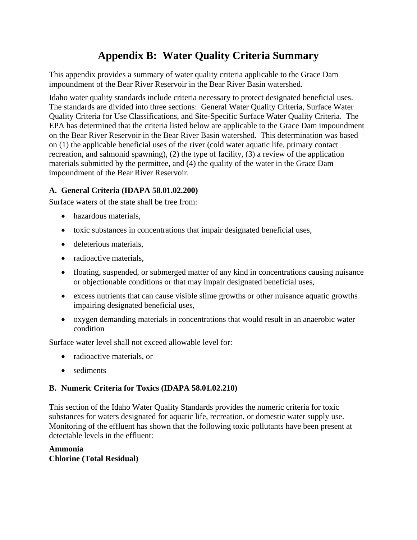# **Appendix B: Water Quality Criteria Summary**

This appendix provides a summary of water quality criteria applicable to the Grace Dam impoundment of the Bear River Reservoir in the Bear River Basin watershed.

Idaho water quality standards include criteria necessary to protect designated beneficial uses. The standards are divided into three sections: General Water Quality Criteria, Surface Water Quality Criteria for Use Classifications, and Site-Specific Surface Water Quality Criteria. The EPA has determined that the criteria listed below are applicable to the Grace Dam impoundment on the Bear River Reservoir in the Bear River Basin watershed. This determination was based on (1) the applicable beneficial uses of the river (cold water aquatic life, primary contact recreation, and salmonid spawning), (2) the type of facility, (3) a review of the application materials submitted by the permittee, and (4) the quality of the water in the Grace Dam impoundment of the Bear River Reservoir.

#### **A. General Criteria (IDAPA 58.01.02.200)**

Surface waters of the state shall be free from:

- hazardous materials,
- toxic substances in concentrations that impair designated beneficial uses,
- deleterious materials,
- radioactive materials,
- floating, suspended, or submerged matter of any kind in concentrations causing nuisance or objectionable conditions or that may impair designated beneficial uses,
- excess nutrients that can cause visible slime growths or other nuisance aquatic growths impairing designated beneficial uses,
- oxygen demanding materials in concentrations that would result in an anaerobic water condition

Surface water level shall not exceed allowable level for:

- radioactive materials, or
- sediments

#### **B. Numeric Criteria for Toxics (IDAPA 58.01.02.210)**

This section of the Idaho Water Quality Standards provides the numeric criteria for toxic substances for waters designated for aquatic life, recreation, or domestic water supply use. Monitoring of the effluent has shown that the following toxic pollutants have been present at detectable levels in the effluent:

#### **Ammonia Chlorine (Total Residual)**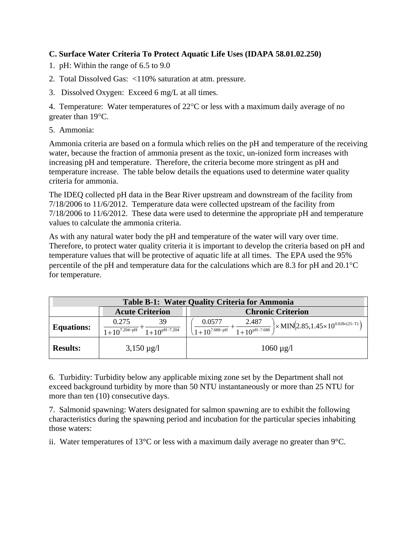#### **C. Surface Water Criteria To Protect Aquatic Life Uses (IDAPA 58.01.02.250)**

- 1. pH: Within the range of 6.5 to 9.0
- 2. Total Dissolved Gas: <110% saturation at atm. pressure.
- 3. Dissolved Oxygen: Exceed 6 mg/L at all times.

4. Temperature: Water temperatures of  $22^{\circ}$ C or less with a maximum daily average of no greater than  $19^{\circ}$ C.

5. Ammonia:

Ammonia criteria are based on a formula which relies on the pH and temperature of the receiving water, because the fraction of ammonia present as the toxic, un-ionized form increases with increasing pH and temperature. Therefore, the criteria become more stringent as pH and temperature increase. The table below details the equations used to determine water quality criteria for ammonia.

The IDEQ collected pH data in the Bear River upstream and downstream of the facility from 7/18/2006 to 11/6/2012. Temperature data were collected upstream of the facility from 7/18/2006 to 11/6/2012. These data were used to determine the appropriate pH and temperature values to calculate the ammonia criteria.

As with any natural water body the pH and temperature of the water will vary over time. Therefore, to protect water quality criteria it is important to develop the criteria based on pH and temperature values that will be protective of aquatic life at all times. The EPA used the 95% percentile of the pH and temperature data for the calculations which are 8.3 for pH and  $20.1^{\circ}$ C for temperature.

| <b>Table B-1: Water Quality Criteria for Ammonia</b> |                                                       |                                                                                                                                                  |  |  |
|------------------------------------------------------|-------------------------------------------------------|--------------------------------------------------------------------------------------------------------------------------------------------------|--|--|
| <b>Acute Criterion</b><br><b>Chronic Criterion</b>   |                                                       |                                                                                                                                                  |  |  |
| <b>Equations:</b>                                    | 39<br>0.275<br>$1+10^{7.204-pH}$<br>$1+10^{pH-7.204}$ | 0.0577<br>2.487<br>$\times$ MIN $(2.85, 1.45 \times 10^{0.028 \times (25-T)})$<br>$\frac{1+10^{pH-7.688}}{1+10^{pH-7.688}}$<br>$1+10^{7.688-pH}$ |  |  |
| <b>Results:</b>                                      | $3,150 \,\mu g/l$                                     | $1060 \mu g/l$                                                                                                                                   |  |  |

6. Turbidity: Turbidity below any applicable mixing zone set by the Department shall not exceed background turbidity by more than 50 NTU instantaneously or more than 25 NTU for more than ten (10) consecutive days.

7. Salmonid spawning: Waters designated for salmon spawning are to exhibit the following characteristics during the spawning period and incubation for the particular species inhabiting those waters:

ii. Water temperatures of 13°C or less with a maximum daily average no greater than 9°C.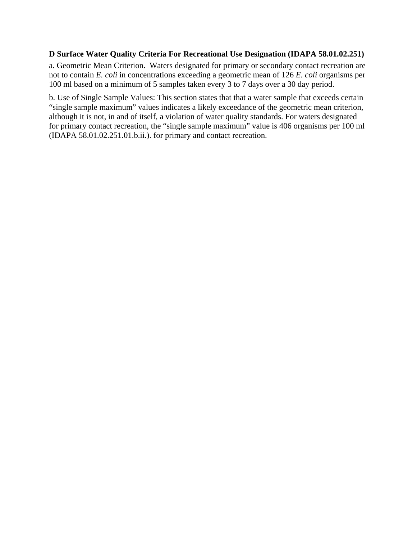#### **D Surface Water Quality Criteria For Recreational Use Designation (IDAPA 58.01.02.251)**

a. Geometric Mean Criterion. Waters designated for primary or secondary contact recreation are not to contain *E. coli* in concentrations exceeding a geometric mean of 126 *E. coli* organisms per 100 ml based on a minimum of 5 samples taken every 3 to 7 days over a 30 day period.

b. Use of Single Sample Values: This section states that that a water sample that exceeds certain "single sample maximum" values indicates a likely exceedance of the geometric mean criterion, although it is not, in and of itself, a violation of water quality standards. For waters designated for primary contact recreation, the "single sample maximum" value is 406 organisms per 100 ml (IDAPA 58.01.02.251.01.b.ii.). for primary and contact recreation.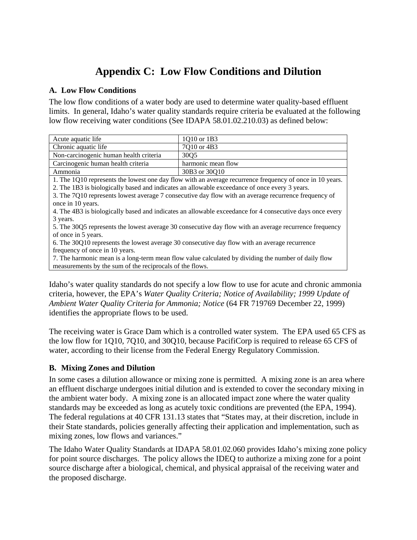# **Appendix C: Low Flow Conditions and Dilution**

#### **A. Low Flow Conditions**

The low flow conditions of a water body are used to determine water quality-based effluent limits. In general, Idaho's water quality standards require criteria be evaluated at the following low flow receiving water conditions (See IDAPA 58.01.02.210.03) as defined below:

| Acute aquatic life                                                                                       | 1Q10 or 1B3                                                                                              |  |  |  |
|----------------------------------------------------------------------------------------------------------|----------------------------------------------------------------------------------------------------------|--|--|--|
| Chronic aquatic life                                                                                     | 7Q10 or 4B3                                                                                              |  |  |  |
| Non-carcinogenic human health criteria                                                                   | 30Q5                                                                                                     |  |  |  |
| Carcinogenic human health criteria                                                                       | harmonic mean flow                                                                                       |  |  |  |
| Ammonia                                                                                                  | 30B3 or 30O10                                                                                            |  |  |  |
|                                                                                                          | 1. The 1Q10 represents the lowest one day flow with an average recurrence frequency of once in 10 years. |  |  |  |
|                                                                                                          | 2. The 1B3 is biologically based and indicates an allowable exceedance of once every 3 years.            |  |  |  |
| 3. The 7Q10 represents lowest average 7 consecutive day flow with an average recurrence frequency of     |                                                                                                          |  |  |  |
| once in 10 years.                                                                                        |                                                                                                          |  |  |  |
| 4. The 4B3 is biologically based and indicates an allowable exceedance for 4 consecutive days once every |                                                                                                          |  |  |  |
| 3 years.                                                                                                 |                                                                                                          |  |  |  |
| 5. The 30Q5 represents the lowest average 30 consecutive day flow with an average recurrence frequency   |                                                                                                          |  |  |  |
| of once in 5 years.                                                                                      |                                                                                                          |  |  |  |
| 6. The 30Q10 represents the lowest average 30 consecutive day flow with an average recurrence            |                                                                                                          |  |  |  |
| frequency of once in 10 years.                                                                           |                                                                                                          |  |  |  |

7. The harmonic mean is a long-term mean flow value calculated by dividing the number of daily flow measurements by the sum of the reciprocals of the flows.

Idaho's water quality standards do not specify a low flow to use for acute and chronic ammonia criteria, however, the EPA's *Water Quality Criteria; Notice of Availability; 1999 Update of Ambient Water Quality Criteria for Ammonia; Notice* (64 FR 719769 December 22, 1999) identifies the appropriate flows to be used.

The receiving water is Grace Dam which is a controlled water system. The EPA used 65 CFS as the low flow for 1Q10, 7Q10, and 30Q10, because PacifiCorp is required to release 65 CFS of water, according to their license from the Federal Energy Regulatory Commission.

#### **B. Mixing Zones and Dilution**

In some cases a dilution allowance or mixing zone is permitted. A mixing zone is an area where an effluent discharge undergoes initial dilution and is extended to cover the secondary mixing in the ambient water body. A mixing zone is an allocated impact zone where the water quality standards may be exceeded as long as acutely toxic conditions are prevented (the EPA, 1994). The federal regulations at 40 CFR 131.13 states that "States may, at their discretion, include in their State standards, policies generally affecting their application and implementation, such as mixing zones, low flows and variances."

The Idaho Water Quality Standards at IDAPA 58.01.02.060 provides Idaho's mixing zone policy for point source discharges. The policy allows the IDEQ to authorize a mixing zone for a point source discharge after a biological, chemical, and physical appraisal of the receiving water and the proposed discharge.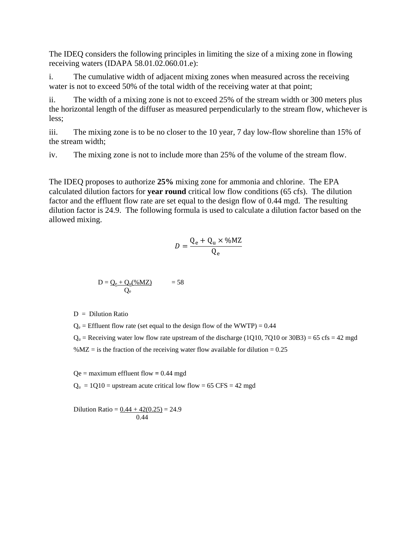The IDEQ considers the following principles in limiting the size of a mixing zone in flowing receiving waters (IDAPA 58.01.02.060.01.e):

i. The cumulative width of adjacent mixing zones when measured across the receiving water is not to exceed 50% of the total width of the receiving water at that point;

ii. The width of a mixing zone is not to exceed 25% of the stream width or 300 meters plus the horizontal length of the diffuser as measured perpendicularly to the stream flow, whichever is less;

iii. The mixing zone is to be no closer to the 10 year, 7 day low-flow shoreline than 15% of the stream width;

iv. The mixing zone is not to include more than 25% of the volume of the stream flow.

The IDEQ proposes to authorize **25%** mixing zone for ammonia and chlorine. The EPA calculated dilution factors for **year round** critical low flow conditions (65 cfs). The dilution factor and the effluent flow rate are set equal to the design flow of 0.44 mgd. The resulting dilution factor is 24.9. The following formula is used to calculate a dilution factor based on the allowed mixing.

$$
D = \frac{Q_e + Q_u \times \% M Z}{Q_e}
$$

$$
D = \underline{Q_e + Q_u(\% MZ)} \qquad \qquad = 58
$$

 $D =$  Dilution Ratio

 $Q_e$  = Effluent flow rate (set equal to the design flow of the WWTP) = 0.44

 $Q_u$  = Receiving water low flow rate upstream of the discharge (1Q10, 7Q10 or 30B3) = 65 cfs = 42 mgd % $MZ =$  is the fraction of the receiving water flow available for dilution = 0.25

 $Qe =$  maximum effluent flow = 0.44 mgd

 $Q_u = 1Q10$  = upstream acute critical low flow = 65 CFS = 42 mgd

Dilution Ratio =  $0.44 + 42(0.25) = 24.9$ 0.44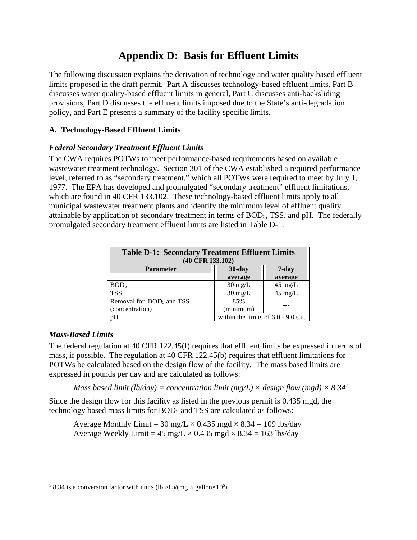### **Appendix D: Basis for Effluent Limits**

The following discussion explains the derivation of technology and water quality based effluent limits proposed in the draft permit. Part A discusses technology-based effluent limits, Part B discusses water quality-based effluent limits in general, Part C discusses anti-backsliding provisions, Part D discusses the effluent limits imposed due to the State's anti-degradation policy, and Part E presents a summary of the facility specific limits.

#### **A. Technology-Based Effluent Limits**

#### *Federal Secondary Treatment Effluent Limits*

The CWA requires POTWs to meet performance-based requirements based on available wastewater treatment technology. Section 301 of the CWA established a required performance level, referred to as "secondary treatment," which all POTWs were required to meet by July 1, 1977. The EPA has developed and promulgated "secondary treatment" effluent limitations, which are found in 40 CFR 133.102. These technology-based effluent limits apply to all municipal wastewater treatment plants and identify the minimum level of effluent quality attainable by application of secondary treatment in terms of BOD5, TSS, and pH. The federally promulgated secondary treatment effluent limits are listed in Table D-1.

| <b>Table D-1: Secondary Treatment Effluent Limits</b><br>(40 CFR 133.102) |                                       |                   |  |  |  |
|---------------------------------------------------------------------------|---------------------------------------|-------------------|--|--|--|
| $30$ -day<br>$7 - day$<br><b>Parameter</b>                                |                                       |                   |  |  |  |
|                                                                           | average                               | average           |  |  |  |
| BOD <sub>5</sub>                                                          | $30 \text{ mg/L}$                     | $45 \text{ mg/L}$ |  |  |  |
| <b>TSS</b>                                                                | $30 \text{ mg/L}$                     | $45 \text{ mg/L}$ |  |  |  |
| Removal for BOD <sub>5</sub> and TSS                                      | 85%                                   |                   |  |  |  |
| (concentration)                                                           | (minimum)                             |                   |  |  |  |
| pH                                                                        | within the limits of $6.0 - 9.0$ s.u. |                   |  |  |  |

#### *Mass-Based Limits*

l

The federal regulation at 40 CFR 122.45(f) requires that effluent limits be expressed in terms of mass, if possible. The regulation at 40 CFR 122.45(b) requires that effluent limitations for POTWs be calculated based on the design flow of the facility. The mass based limits are expressed in pounds per day and are calculated as follows:

*Mass based limit (lb/day) = concentration limit (mg/L)*  $\times$  *design flow (mgd)*  $\times$  *8.34<sup>1</sup>* 

Since the design flow for this facility as listed in the previous permit is 0.435 mgd, the technology based mass limits for BOD5 and TSS are calculated as follows:

Average Monthly Limit = 30 mg/L  $\times$  0.435 mgd  $\times$  8.34 = 109 lbs/day Average Weekly Limit =  $45 \text{ mg/L} \times 0.435 \text{ mgd} \times 8.34 = 163 \text{ lbs/day}$ 

<sup>&</sup>lt;sup>1</sup> 8.34 is a conversion factor with units (lb  $\times L$ )/(mg  $\times$  gallon $\times 10^6$ )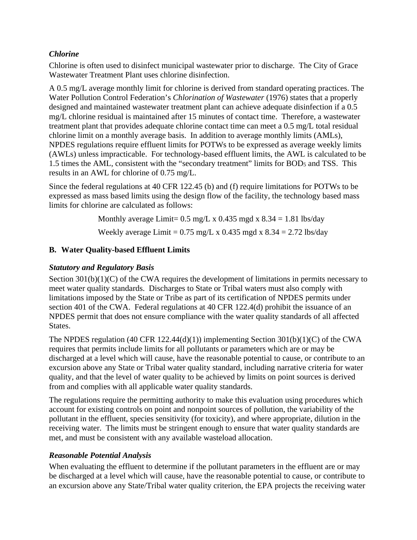#### *Chlorine*

Chlorine is often used to disinfect municipal wastewater prior to discharge. The City of Grace Wastewater Treatment Plant uses chlorine disinfection.

A 0.5 mg/L average monthly limit for chlorine is derived from standard operating practices. The Water Pollution Control Federation's *Chlorination of Wastewater* (1976) states that a properly designed and maintained wastewater treatment plant can achieve adequate disinfection if a 0.5 mg/L chlorine residual is maintained after 15 minutes of contact time. Therefore, a wastewater treatment plant that provides adequate chlorine contact time can meet a 0.5 mg/L total residual chlorine limit on a monthly average basis. In addition to average monthly limits (AMLs), NPDES regulations require effluent limits for POTWs to be expressed as average weekly limits (AWLs) unless impracticable. For technology-based effluent limits, the AWL is calculated to be 1.5 times the AML, consistent with the "secondary treatment" limits for BOD5 and TSS. This results in an AWL for chlorine of 0.75 mg/L.

Since the federal regulations at 40 CFR 122.45 (b) and (f) require limitations for POTWs to be expressed as mass based limits using the design flow of the facility, the technology based mass limits for chlorine are calculated as follows:

> Monthly average Limit=  $0.5 \text{ mg/L x} 0.435 \text{ mg/dx} 8.34 = 1.81 \text{ lbs/day}$ Weekly average Limit =  $0.75$  mg/L x  $0.435$  mgd x  $8.34 = 2.72$  lbs/day

#### **B. Water Quality-based Effluent Limits**

#### *Statutory and Regulatory Basis*

Section  $301(b)(1)(C)$  of the CWA requires the development of limitations in permits necessary to meet water quality standards. Discharges to State or Tribal waters must also comply with limitations imposed by the State or Tribe as part of its certification of NPDES permits under section 401 of the CWA. Federal regulations at 40 CFR 122.4(d) prohibit the issuance of an NPDES permit that does not ensure compliance with the water quality standards of all affected States.

The NPDES regulation (40 CFR 122.44(d)(1)) implementing Section 301(b)(1)(C) of the CWA requires that permits include limits for all pollutants or parameters which are or may be discharged at a level which will cause, have the reasonable potential to cause, or contribute to an excursion above any State or Tribal water quality standard, including narrative criteria for water quality, and that the level of water quality to be achieved by limits on point sources is derived from and complies with all applicable water quality standards.

The regulations require the permitting authority to make this evaluation using procedures which account for existing controls on point and nonpoint sources of pollution, the variability of the pollutant in the effluent, species sensitivity (for toxicity), and where appropriate, dilution in the receiving water. The limits must be stringent enough to ensure that water quality standards are met, and must be consistent with any available wasteload allocation.

#### *Reasonable Potential Analysis*

When evaluating the effluent to determine if the pollutant parameters in the effluent are or may be discharged at a level which will cause, have the reasonable potential to cause, or contribute to an excursion above any State/Tribal water quality criterion, the EPA projects the receiving water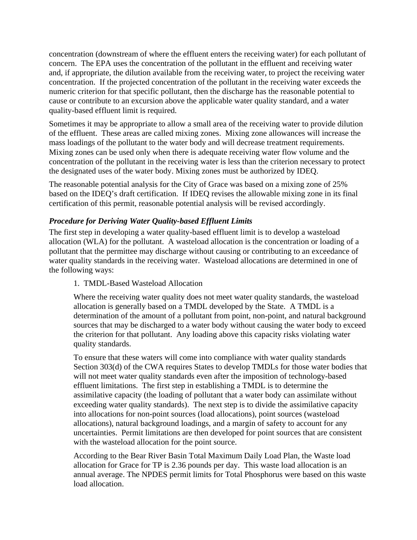concentration (downstream of where the effluent enters the receiving water) for each pollutant of concern. The EPA uses the concentration of the pollutant in the effluent and receiving water and, if appropriate, the dilution available from the receiving water, to project the receiving water concentration. If the projected concentration of the pollutant in the receiving water exceeds the numeric criterion for that specific pollutant, then the discharge has the reasonable potential to cause or contribute to an excursion above the applicable water quality standard, and a water quality-based effluent limit is required.

Sometimes it may be appropriate to allow a small area of the receiving water to provide dilution of the effluent. These areas are called mixing zones. Mixing zone allowances will increase the mass loadings of the pollutant to the water body and will decrease treatment requirements. Mixing zones can be used only when there is adequate receiving water flow volume and the concentration of the pollutant in the receiving water is less than the criterion necessary to protect the designated uses of the water body. Mixing zones must be authorized by IDEQ.

The reasonable potential analysis for the City of Grace was based on a mixing zone of 25% based on the IDEQ's draft certification. If IDEQ revises the allowable mixing zone in its final certification of this permit, reasonable potential analysis will be revised accordingly.

#### *Procedure for Deriving Water Quality-based Effluent Limits*

The first step in developing a water quality-based effluent limit is to develop a wasteload allocation (WLA) for the pollutant. A wasteload allocation is the concentration or loading of a pollutant that the permittee may discharge without causing or contributing to an exceedance of water quality standards in the receiving water. Wasteload allocations are determined in one of the following ways:

#### 1. TMDL-Based Wasteload Allocation

Where the receiving water quality does not meet water quality standards, the wasteload allocation is generally based on a TMDL developed by the State. A TMDL is a determination of the amount of a pollutant from point, non-point, and natural background sources that may be discharged to a water body without causing the water body to exceed the criterion for that pollutant. Any loading above this capacity risks violating water quality standards.

To ensure that these waters will come into compliance with water quality standards Section 303(d) of the CWA requires States to develop TMDLs for those water bodies that will not meet water quality standards even after the imposition of technology-based effluent limitations. The first step in establishing a TMDL is to determine the assimilative capacity (the loading of pollutant that a water body can assimilate without exceeding water quality standards). The next step is to divide the assimilative capacity into allocations for non-point sources (load allocations), point sources (wasteload allocations), natural background loadings, and a margin of safety to account for any uncertainties. Permit limitations are then developed for point sources that are consistent with the wasteload allocation for the point source.

According to the Bear River Basin Total Maximum Daily Load Plan, the Waste load allocation for Grace for TP is 2.36 pounds per day. This waste load allocation is an annual average. The NPDES permit limits for Total Phosphorus were based on this waste load allocation.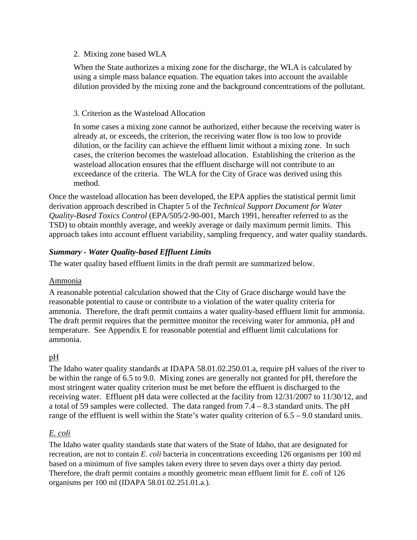#### 2. Mixing zone based WLA

When the State authorizes a mixing zone for the discharge, the WLA is calculated by using a simple mass balance equation. The equation takes into account the available dilution provided by the mixing zone and the background concentrations of the pollutant.

#### 3. Criterion as the Wasteload Allocation

In some cases a mixing zone cannot be authorized, either because the receiving water is already at, or exceeds, the criterion, the receiving water flow is too low to provide dilution, or the facility can achieve the effluent limit without a mixing zone. In such cases, the criterion becomes the wasteload allocation. Establishing the criterion as the wasteload allocation ensures that the effluent discharge will not contribute to an exceedance of the criteria. The WLA for the City of Grace was derived using this method.

 approach takes into account effluent variability, sampling frequency, and water quality standards. Once the wasteload allocation has been developed, the EPA applies the statistical permit limit derivation approach described in Chapter 5 of the *Technical Support Document for Water Quality-Based Toxics Control* (EPA/505/2-90-001, March 1991, hereafter referred to as the TSD) to obtain monthly average, and weekly average or daily maximum permit limits. This

#### *Summary - Water Quality-based Effluent Limits*

The water quality based effluent limits in the draft permit are summarized below.

#### Ammonia

A reasonable potential calculation showed that the City of Grace discharge would have the reasonable potential to cause or contribute to a violation of the water quality criteria for ammonia. Therefore, the draft permit contains a water quality-based effluent limit for ammonia. The draft permit requires that the permittee monitor the receiving water for ammonia, pH and temperature. See Appendix E for reasonable potential and effluent limit calculations for ammonia.

#### pH

The Idaho water quality standards at IDAPA 58.01.02.250.01.a, require pH values of the river to be within the range of 6.5 to 9.0. Mixing zones are generally not granted for pH, therefore the most stringent water quality criterion must be met before the effluent is discharged to the receiving water. Effluent pH data were collected at the facility from 12/31/2007 to 11/30/12, and a total of 59 samples were collected. The data ranged from 7.4 – 8.3 standard units. The pH range of the effluent is well within the State's water quality criterion of 6.5 – 9.0 standard units.

#### *E. coli*

The Idaho water quality standards state that waters of the State of Idaho, that are designated for recreation, are not to contain *E. coli* bacteria in concentrations exceeding 126 organisms per 100 ml based on a minimum of five samples taken every three to seven days over a thirty day period. Therefore, the draft permit contains a monthly geometric mean effluent limit for *E. coli* of 126 organisms per 100 ml (IDAPA 58.01.02.251.01.a.).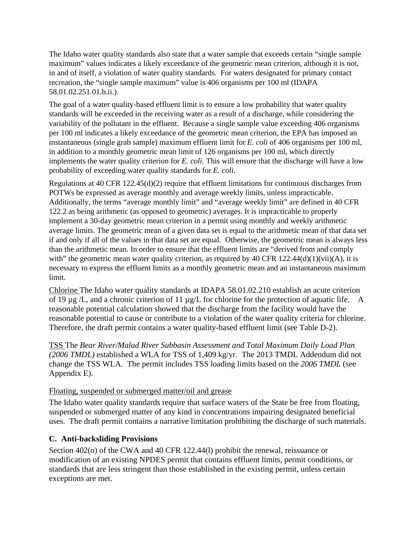The Idaho water quality standards also state that a water sample that exceeds certain "single sample maximum" values indicates a likely exceedance of the geometric mean criterion, although it is not, in and of itself, a violation of water quality standards. For waters designated for primary contact recreation, the "single sample maximum" value is 406 organisms per 100 ml (IDAPA 58.01.02.251.01.b.ii.).

The goal of a water quality-based effluent limit is to ensure a low probability that water quality standards will be exceeded in the receiving water as a result of a discharge, while considering the variability of the pollutant in the effluent. Because a single sample value exceeding 406 organisms per 100 ml indicates a likely exceedance of the geometric mean criterion, the EPA has imposed an instantaneous (single grab sample) maximum effluent limit for *E. coli* of 406 organisms per 100 ml, in addition to a monthly geometric mean limit of 126 organisms per 100 ml, which directly implements the water quality criterion for *E. coli*. This will ensure that the discharge will have a low probability of exceeding water quality standards for *E. coli*.

Regulations at 40 CFR 122.45(d)(2) require that effluent limitations for continuous discharges from POTWs be expressed as average monthly and average weekly limits, unless impracticable. Additionally, the terms "average monthly limit" and "average weekly limit" are defined in 40 CFR 122.2 as being arithmetic (as opposed to geometric) averages. It is impracticable to properly implement a 30-day geometric mean criterion in a permit using monthly and weekly arithmetic average limits. The geometric mean of a given data set is equal to the arithmetic mean of that data set if and only if all of the values in that data set are equal. Otherwise, the geometric mean is always less than the arithmetic mean. In order to ensure that the effluent limits are "derived from and comply with" the geometric mean water quality criterion, as required by 40 CFR 122.44(d)(1)(vii)(A), it is necessary to express the effluent limits as a monthly geometric mean and an instantaneous maximum limit.

of 19  $\mu$ g /L, and a chronic criterion of 11  $\mu$ g/L for chlorine for the protection of aquatic life. A Chlorine The Idaho water quality standards at IDAPA 58.01.02.210 establish an acute criterion reasonable potential calculation showed that the discharge from the facility would have the reasonable potential to cause or contribute to a violation of the water quality criteria for chlorine. Therefore, the draft permit contains a water quality-based effluent limit (see Table D-2).

TSS The *Bear River/Malad River Subbasin Assessment and Total Maximum Daily Load Plan (2006 TMDL)* established a WLA for TSS of 1,409 kg/yr. The 2013 TMDL Addendum did not change the TSS WLA. The permit includes TSS loading limits based on the *2006 TMDL* (see Appendix E).

#### Floating, suspended or submerged matter/oil and grease

The Idaho water quality standards require that surface waters of the State be free from floating, suspended or submerged matter of any kind in concentrations impairing designated beneficial uses. The draft permit contains a narrative limitation prohibiting the discharge of such materials.

#### **C. Anti-backsliding Provisions**

Section 402(o) of the CWA and 40 CFR 122.44(l) prohibit the renewal, reissuance or modification of an existing NPDES permit that contains effluent limits, permit conditions, or standards that are less stringent than those established in the existing permit, unless certain exceptions are met.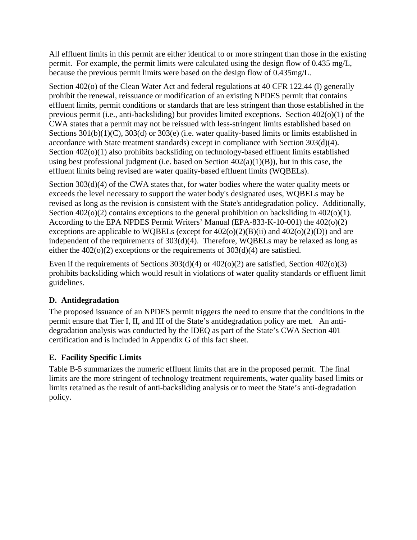All effluent limits in this permit are either identical to or more stringent than those in the existing permit. For example, the permit limits were calculated using the design flow of 0.435 mg/L, because the previous permit limits were based on the design flow of 0.435mg/L.

Section 402(o) of the Clean Water Act and federal regulations at 40 CFR 122.44 (l) generally prohibit the renewal, reissuance or modification of an existing NPDES permit that contains effluent limits, permit conditions or standards that are less stringent than those established in the previous permit (i.e., anti-backsliding) but provides limited exceptions. Section 402(o)(1) of the CWA states that a permit may not be reissued with less-stringent limits established based on Sections 301(b)(1)(C), 303(d) or 303(e) (i.e. water quality-based limits or limits established in accordance with State treatment standards) except in compliance with Section 303(d)(4). Section  $402(0)(1)$  also prohibits backsliding on technology-based effluent limits established using best professional judgment (i.e. based on Section  $402(a)(1)(B)$ ), but in this case, the effluent limits being revised are water quality-based effluent limits (WQBELs).

Section 303(d)(4) of the CWA states that, for water bodies where the water quality meets or exceeds the level necessary to support the water body's designated uses, WQBELs may be revised as long as the revision is consistent with the State's antidegradation policy. Additionally, Section  $402(0)(2)$  contains exceptions to the general prohibition on backsliding in  $402(0)(1)$ . According to the EPA NPDES Permit Writers' Manual (EPA-833-K-10-001) the 402(o)(2) exceptions are applicable to WQBELs (except for  $402(0)(2)(B)(ii)$  and  $402(0)(2)(D)$ ) and are independent of the requirements of 303(d)(4). Therefore, WQBELs may be relaxed as long as either the  $402(0)(2)$  exceptions or the requirements of  $303(d)(4)$  are satisfied.

Even if the requirements of Sections  $303(d)(4)$  or  $402(o)(2)$  are satisfied, Section  $402(o)(3)$ prohibits backsliding which would result in violations of water quality standards or effluent limit guidelines.

#### **D. Antidegradation**

The proposed issuance of an NPDES permit triggers the need to ensure that the conditions in the permit ensure that Tier I, II, and III of the State's antidegradation policy are met. An antidegradation analysis was conducted by the IDEQ as part of the State's CWA Section 401 certification and is included in Appendix G of this fact sheet.

#### **E. Facility Specific Limits**

Table B-5 summarizes the numeric effluent limits that are in the proposed permit. The final limits are the more stringent of technology treatment requirements, water quality based limits or limits retained as the result of anti-backsliding analysis or to meet the State's anti-degradation policy.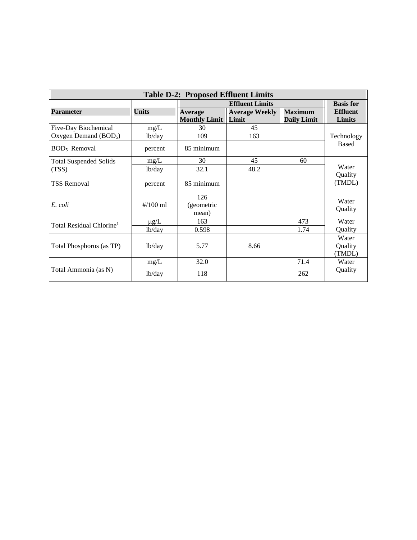| <b>Table D-2: Proposed Effluent Limits</b> |                     |                                        |                                |                                      |                            |  |
|--------------------------------------------|---------------------|----------------------------------------|--------------------------------|--------------------------------------|----------------------------|--|
|                                            |                     |                                        | <b>Basis for</b>               |                                      |                            |  |
| <b>Parameter</b>                           | <b>Units</b>        | <b>Average</b><br><b>Monthly Limit</b> | <b>Average Weekly</b><br>Limit | <b>Maximum</b><br><b>Daily Limit</b> | <b>Effluent</b><br>Limits  |  |
| Five-Day Biochemical                       | mg/L                | 30                                     | 45                             |                                      |                            |  |
| Oxygen Demand $(BOD5)$                     | lb/day              | 109                                    | 163                            |                                      | Technology                 |  |
| BOD <sub>5</sub> Removal                   | percent             | 85 minimum                             |                                |                                      | <b>Based</b>               |  |
| <b>Total Suspended Solids</b>              | mg/L                | 30                                     | 45                             | 60                                   |                            |  |
| (TSS)                                      | lb/day              | 32.1                                   | 48.2                           |                                      | Water                      |  |
| <b>TSS Removal</b>                         | percent             | 85 minimum                             |                                |                                      | Quality<br>(TMDL)          |  |
| E. coli                                    | $\frac{\#}{100}$ ml | 126<br>(geometric<br>mean)             |                                |                                      | Water<br>Quality           |  |
| Total Residual Chlorine <sup>1</sup>       | $\mu$ g/L           | 163                                    |                                | 473                                  | Water                      |  |
|                                            | 1 <sub>b</sub> /day | 0.598                                  |                                | 1.74                                 | Quality                    |  |
| Total Phosphorus (as TP)                   | lb/day              | 5.77                                   | 8.66                           |                                      | Water<br>Quality<br>(TMDL) |  |
|                                            | mg/L                | 32.0                                   |                                | 71.4                                 | Water                      |  |
| Total Ammonia (as N)                       | lb/day              | 118                                    |                                | 262                                  | Quality                    |  |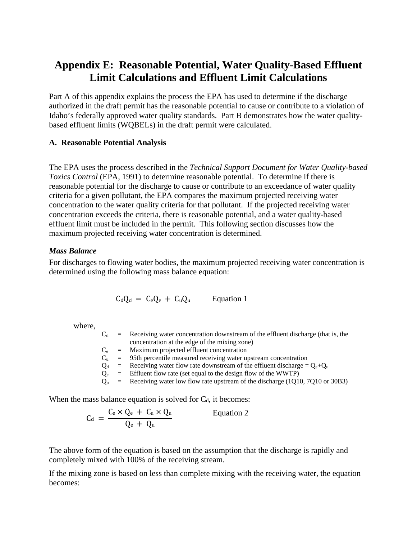### **Appendix E: Reasonable Potential, Water Quality-Based Effluent Limit Calculations and Effluent Limit Calculations**

Part A of this appendix explains the process the EPA has used to determine if the discharge authorized in the draft permit has the reasonable potential to cause or contribute to a violation of Idaho's federally approved water quality standards. Part B demonstrates how the water qualitybased effluent limits (WQBELs) in the draft permit were calculated.

#### **A. Reasonable Potential Analysis**

The EPA uses the process described in the *Technical Support Document for Water Quality-based Toxics Control* (EPA, 1991) to determine reasonable potential. To determine if there is reasonable potential for the discharge to cause or contribute to an exceedance of water quality criteria for a given pollutant, the EPA compares the maximum projected receiving water concentration to the water quality criteria for that pollutant. If the projected receiving water concentration exceeds the criteria, there is reasonable potential, and a water quality-based effluent limit must be included in the permit. This following section discusses how the maximum projected receiving water concentration is determined.

#### *Mass Balance*

For discharges to flowing water bodies, the maximum projected receiving water concentration is determined using the following mass balance equation:

$$
C_d Q_d = C_e Q_e + C_u Q_u
$$
 Equation 1

where,

|  | $C_d$ = Receiving water concentration downstream of the effluent discharge (that is, the |
|--|------------------------------------------------------------------------------------------|
|  | concentration at the edge of the mixing zone)                                            |
|  | $C_e$ = Maximum projected effluent concentration                                         |
|  | $C_u$ = 95th percentile measured receiving water upstream concentration                  |
|  | $Q_d$ = Receiving water flow rate downstream of the effluent discharge = $Q_e+Q_u$       |
|  | $Q_e$ = Effluent flow rate (set equal to the design flow of the WWTP)                    |
|  | $Q_u$ = Receiving water low flow rate upstream of the discharge (1Q10, 7Q10 or 30B3)     |
|  |                                                                                          |

When the mass balance equation is solved for  $C_d$ , it becomes:

$$
C_d = \frac{C_e \times Q_e + C_u \times Q_u}{Q_e + Q_u}
$$
 Equation 2

The above form of the equation is based on the assumption that the discharge is rapidly and completely mixed with 100% of the receiving stream.

If the mixing zone is based on less than complete mixing with the receiving water, the equation becomes: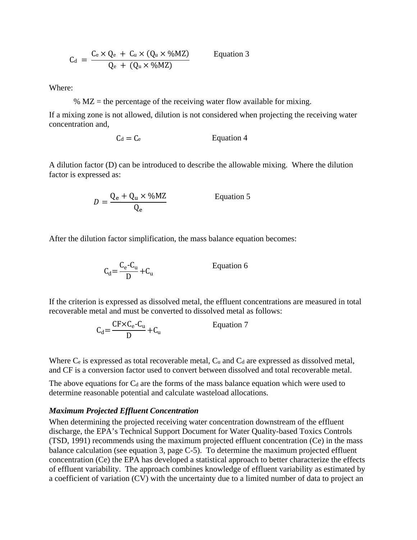$$
C_{d} = \frac{C_{e} \times Q_{e} + C_{u} \times (Q_{u} \times \% MZ)}{Q_{e} + (Q_{u} \times \% MZ)}
$$
 Equation 3

Where:

%  $MZ$  = the percentage of the receiving water flow available for mixing.

If a mixing zone is not allowed, dilution is not considered when projecting the receiving water concentration and,

$$
C_d = C_e
$$
 *Equation 4*

A dilution factor (D) can be introduced to describe the allowable mixing. Where the dilution factor is expressed as:

$$
D = \frac{Q_e + Q_u \times \% MZ}{Q_e}
$$
 Equation 5

After the dilution factor simplification, the mass balance equation becomes:

$$
C_d = \frac{C_e - C_u}{D} + C_u
$$
 Equation 6

If the criterion is expressed as dissolved metal, the effluent concentrations are measured in total recoverable metal and must be converted to dissolved metal as follows:

$$
C_{d} = \frac{CF \times C_{e} - C_{u}}{D} + C_{u}
$$
 Equation 7

Where  $C_e$  is expressed as total recoverable metal,  $C_u$  and  $C_d$  are expressed as dissolved metal, and CF is a conversion factor used to convert between dissolved and total recoverable metal.

The above equations for  $C_d$  are the forms of the mass balance equation which were used to determine reasonable potential and calculate wasteload allocations.

#### *Maximum Projected Effluent Concentration*

When determining the projected receiving water concentration downstream of the effluent discharge, the EPA's Technical Support Document for Water Quality-based Toxics Controls (TSD, 1991) recommends using the maximum projected effluent concentration (Ce) in the mass balance calculation (see equation 3, page C-5). To determine the maximum projected effluent concentration (Ce) the EPA has developed a statistical approach to better characterize the effects of effluent variability. The approach combines knowledge of effluent variability as estimated by a coefficient of variation (CV) with the uncertainty due to a limited number of data to project an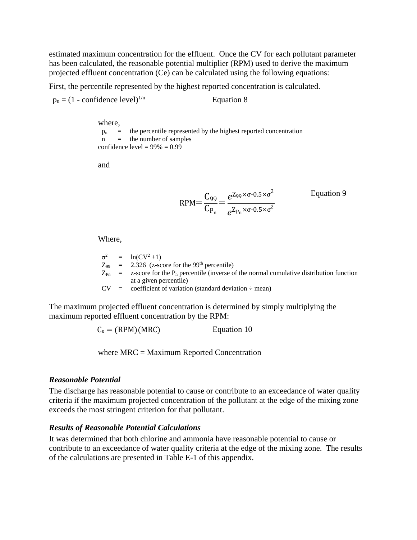estimated maximum concentration for the effluent. Once the CV for each pollutant parameter has been calculated, the reasonable potential multiplier (RPM) used to derive the maximum projected effluent concentration (Ce) can be calculated using the following equations:

First, the percentile represented by the highest reported concentration is calculated.

 $p_n = (1 - \text{confidence level})^{1/n}$  Equation 8

where,  $p_n$  = the percentile represented by the highest reported concentration  $n =$  the number of samples confidence level =  $99\% = 0.99$ 

and

$$
RPM = \frac{C_{99}}{C_{P_n}} = \frac{e^{Z_{99} \times \sigma \cdot 0.5 \times \sigma^2}}{e^{Z_{P_n} \times \sigma \cdot 0.5 \times \sigma^2}}
$$
 Equation 9

Where,

 $Z_{\text{Pn}}$  = z-score for the P<sub>n</sub> percentile (inverse of the normal cumulative distribution function  $σ<sup>2</sup> = ln(CV<sup>2</sup>+1)$  $Z_{99}$  = 2.326 (z-score for the 99<sup>th</sup> percentile) at a given percentile)  $CV = coefficient of variation (standard deviation  $\div$  mean)$ 

The maximum projected effluent concentration is determined by simply multiplying the maximum reported effluent concentration by the RPM:

 $C_e = (RPM)(MRC)$  Equation 10

where MRC = Maximum Reported Concentration

#### *Reasonable Potential*

The discharge has reasonable potential to cause or contribute to an exceedance of water quality criteria if the maximum projected concentration of the pollutant at the edge of the mixing zone exceeds the most stringent criterion for that pollutant.

#### *Results of Reasonable Potential Calculations*

It was determined that both chlorine and ammonia have reasonable potential to cause or contribute to an exceedance of water quality criteria at the edge of the mixing zone. The results of the calculations are presented in Table E-1 of this appendix.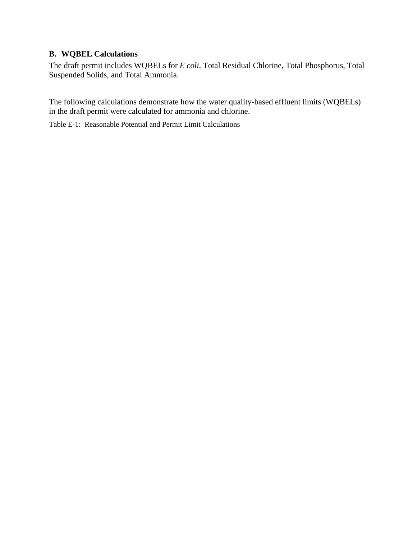#### **B. WQBEL Calculations**

The draft permit includes WQBELs for *E coli*, Total Residual Chlorine, Total Phosphorus, Total Suspended Solids, and Total Ammonia.

The following calculations demonstrate how the water quality-based effluent limits (WQBELs) in the draft permit were calculated for ammonia and chlorine.

Table E-1: Reasonable Potential and Permit Limit Calculations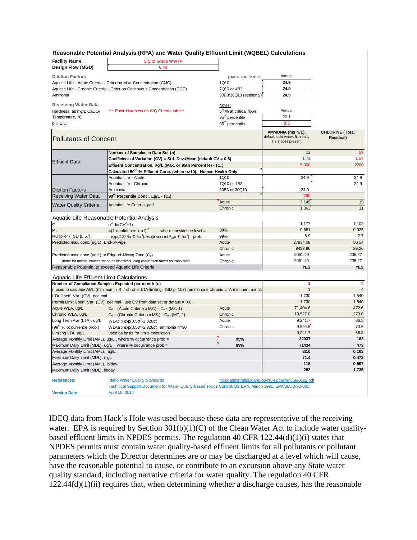#### **Reasonable Potential Analysis (RPA) and Water Quality Effluent Limit (WQBEL) Calculations**

| <b>Facility Name</b><br>Design Flow (MGD)                                | <b>City of Grace WWTP</b><br>0.44                                                                                |                                     |                                                                             |                                     |
|--------------------------------------------------------------------------|------------------------------------------------------------------------------------------------------------------|-------------------------------------|-----------------------------------------------------------------------------|-------------------------------------|
|                                                                          |                                                                                                                  |                                     |                                                                             |                                     |
| <b>Dilution Factors</b>                                                  |                                                                                                                  | (IDAPA 58.01.02 03. b)              | Annual<br>24.9                                                              |                                     |
|                                                                          | Aquatic Life - Acute Criteria - Criterion Max. Concentration (CMC)                                               | 1Q10                                | 24.9                                                                        |                                     |
|                                                                          | Aquatic Life - Chronic Criteria - Criterion Continuous Concentration (CCC)                                       | 7Q10 or 4B3                         | 24.9                                                                        |                                     |
| Ammonia                                                                  |                                                                                                                  | 30B3/30Q10 (seasonal)               |                                                                             |                                     |
| <b>Receiving Water Data</b>                                              |                                                                                                                  | Notes:                              |                                                                             |                                     |
| Hardness, as mg/L CaCO <sub>3</sub>                                      | *** Enter Hardness on WQ Criteria tab ***                                                                        | 5 <sup>th</sup> % at critical flows | Annual                                                                      |                                     |
| Temperature, °C                                                          |                                                                                                                  | 95 <sup>th</sup> percentile         | 20.1                                                                        |                                     |
| pH, S.U.                                                                 |                                                                                                                  | 95 <sup>th</sup> percentile         | 8.3                                                                         |                                     |
| <b>Pollutants of Concern</b>                                             |                                                                                                                  |                                     | AMMONIA (mg N/L),<br>default: cold water, fish early<br>life stages present | <b>CHLORINE</b> (Total<br>Residual) |
|                                                                          | Number of Samples in Data Set (n)                                                                                |                                     | 12                                                                          | 59                                  |
|                                                                          | Coefficient of Variation (CV) = Std. Dev./Mean (default CV = 0.6)                                                |                                     | 1.73                                                                        | 1.54                                |
| <b>Effluent Data</b>                                                     | Effluent Concentration, µg/L (Max. or 95th Percentile) - (Ce)                                                    |                                     | 5.000                                                                       | 2200                                |
|                                                                          | Calculated 50 <sup>th</sup> % Effluent Conc. (when n>10), Human Health Only                                      |                                     |                                                                             |                                     |
|                                                                          | Aquatic Life - Acute                                                                                             | 1Q10                                | 24.9                                                                        | 24.9                                |
|                                                                          | Aquatic Life - Chronic                                                                                           | 7Q10 or 4B3                         |                                                                             | 24.9                                |
| <b>Dilution Factors</b>                                                  | Ammonia                                                                                                          | 30B3 or 30Q10                       | 24.9                                                                        |                                     |
| <b>Receiving Water Data</b>                                              | 90 <sup>th</sup> Percentile Conc., μg/L - (C <sub>u</sub> )                                                      |                                     | 290                                                                         |                                     |
| <b>Water Quality Criteria</b>                                            | Aquatic Life Criteria, µg/L                                                                                      | Acute                               | 3,149                                                                       | 19                                  |
|                                                                          |                                                                                                                  | Chronic                             | 1,063                                                                       | 11                                  |
| <b>Aquatic Life Reasonable Potential Analysis</b>                        |                                                                                                                  |                                     |                                                                             |                                     |
| $\sigma$                                                                 | $\sigma^2$ =ln(CV <sup>2</sup> +1)                                                                               |                                     | 1.177                                                                       | 1.102                               |
| $P_n$                                                                    | $=(1$ -confidence level) <sup>1/n</sup><br>where convidence level =                                              | 99%                                 | 0.681                                                                       | 0.925                               |
| Multiplier (TSD p. 57)                                                   | =exp(2.326σ-0.5σ <sup>2</sup> )/exp[invnorm(P <sub>N</sub> σ-0.5σ <sup>2</sup> ], prob. =                        | 99%                                 | 8.9                                                                         | 2.7                                 |
| Predicted max. conc.(ug/L), End-of-Pipe                                  |                                                                                                                  | Acute                               | 27934.08                                                                    | 50.54                               |
|                                                                          |                                                                                                                  | Chronic                             | 9432.96                                                                     | 29.26                               |
| Predicted max. conc.(ug/L) at Edge-of-Mixing Zone (Cd)                   |                                                                                                                  | Acute                               | 2061.49                                                                     | 235.27                              |
|                                                                          | (note: for metals, concentration as dissolved using conversion factor as translator)                             | Chronic                             | 2061.49                                                                     | 235.27                              |
| Reasonable Potential to exceed Aquatic Life Criteria                     |                                                                                                                  |                                     | <b>YES</b>                                                                  | <b>YES</b>                          |
| Aquatic Life Effluent Limit Calculations                                 |                                                                                                                  |                                     |                                                                             |                                     |
| Number of Compliance Samples Expected per month (n)                      |                                                                                                                  |                                     | 1                                                                           | $\overline{4}$                      |
|                                                                          | n used to calcuate AML (minimum n=4 if chronic LTA limiting, TSD p. 107) (ammonia if chronic LTA min then min=30 |                                     | $\mathbf{1}$                                                                | $\overline{4}$                      |
| LTA Coeff. Var. (CV), decimal                                            |                                                                                                                  |                                     | 1.730                                                                       | 1.540                               |
|                                                                          | Permit Limit Coeff. Var. (CV), decimal use CV from data set or default = 0.6                                     |                                     | 1.730                                                                       | 1.540                               |
| Acute WLA, ug/L                                                          | $C_d$ = (Acute Criteria x MZ <sub>a</sub> ) - $C_u \times (MZ_a - 1)$                                            | Acute                               | 71,404.6                                                                    | 472.6                               |
| Chronic WLA, ug/L                                                        | $C_d =$ (Chronic Criteria x MZ <sub>c</sub> ) - $C_{u \times}$ (MZ <sub>c</sub> -1)                              | Chronic                             | 19,527.0                                                                    | 273.6                               |
| Long Term Ave (LTA), ug/L                                                | WLAc x exp(0.5σ <sup>2</sup> -2.326σ)                                                                            | Acute                               | 9,241.7                                                                     | 66.8                                |
| (99 <sup>th</sup> % occurrence prob.)                                    | WLAa x $\exp(0.5\sigma^2 - 2.326\sigma)$ ; ammonia n=30                                                          | Chronic                             | 9,994.8                                                                     | 70.6                                |
| Limiting LTA, ug/L                                                       | used as basis for limits calculation                                                                             |                                     | 9,241.7                                                                     | 66.8                                |
|                                                                          | Average Monthly Limit (AML), ug/L, where % occurrence prob =                                                     | 95%                                 | 32037                                                                       | 163                                 |
|                                                                          | Maximum Daily Limit (MDL), ug/L, where % occurrence prob =                                                       | 99%                                 | 71434                                                                       | 473<br>0.163                        |
| Average Monthly Limit (AML), mg/L                                        |                                                                                                                  |                                     | 32.0                                                                        |                                     |
| Maximum Daily Limit (MDL), mgL                                           |                                                                                                                  |                                     | 71.4<br>118                                                                 | 0.473<br>0.597                      |
| Average Monthly Limit (AML), Ib/day<br>Maximum Daily Limit (MDL), lb/day |                                                                                                                  |                                     | 262                                                                         | 1.735                               |
|                                                                          |                                                                                                                  |                                     |                                                                             |                                     |
| <b>References:</b>                                                       | <b>Idaho Water Quality Standards</b>                                                                             |                                     | http://adminrules.idaho.gov/rules/current/58/0102.pdf                       |                                     |
|                                                                          | Technical Support Document for Water Quality-based Toxics Control, US EPA, March 1991, EPA/505/2-90-001          |                                     |                                                                             |                                     |
| <b>Version Date:</b>                                                     | April 18, 2014                                                                                                   |                                     |                                                                             |                                     |

IDEQ data from Hack's Hole was used because these data are representative of the receiving water. EPA is required by Section 301(b)(1)(C) of the Clean Water Act to include water qualitybased effluent limits in NPDES permits. The regulation 40 CFR 122.44(d)(1)(i) states that NPDES permits must contain water quality-based effluent limits for all pollutants or pollutant parameters which the Director determines are or may be discharged at a level which will cause, have the reasonable potential to cause, or contribute to an excursion above any State water quality standard, including narrative criteria for water quality. The regulation 40 CFR  $122.44(d)(1)(ii)$  requires that, when determining whether a discharge causes, has the reasonable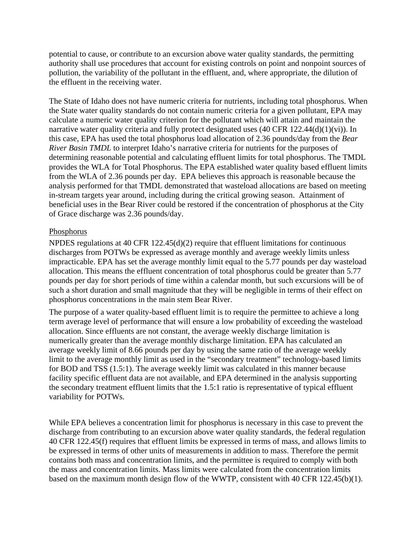potential to cause, or contribute to an excursion above water quality standards, the permitting authority shall use procedures that account for existing controls on point and nonpoint sources of pollution, the variability of the pollutant in the effluent, and, where appropriate, the dilution of the effluent in the receiving water.

The State of Idaho does not have numeric criteria for nutrients, including total phosphorus. When the State water quality standards do not contain numeric criteria for a given pollutant, EPA may calculate a numeric water quality criterion for the pollutant which will attain and maintain the narrative water quality criteria and fully protect designated uses (40 CFR 122.44(d)(1)(vi)). In this case, EPA has used the total phosphorus load allocation of 2.36 pounds/day from the *Bear River Basin TMDL* to interpret Idaho's narrative criteria for nutrients for the purposes of determining reasonable potential and calculating effluent limits for total phosphorus. The TMDL provides the WLA for Total Phosphorus. The EPA established water quality based effluent limits from the WLA of 2.36 pounds per day. EPA believes this approach is reasonable because the analysis performed for that TMDL demonstrated that wasteload allocations are based on meeting in-stream targets year around, including during the critical growing season. Attainment of beneficial uses in the Bear River could be restored if the concentration of phosphorus at the City of Grace discharge was 2.36 pounds/day.

#### **Phosphorus**

NPDES regulations at 40 CFR  $122.45(d)(2)$  require that effluent limitations for continuous discharges from POTWs be expressed as average monthly and average weekly limits unless impracticable. EPA has set the average monthly limit equal to the 5.77 pounds per day wasteload allocation. This means the effluent concentration of total phosphorus could be greater than 5.77 pounds per day for short periods of time within a calendar month, but such excursions will be of such a short duration and small magnitude that they will be negligible in terms of their effect on phosphorus concentrations in the main stem Bear River.

The purpose of a water quality-based effluent limit is to require the permittee to achieve a long term average level of performance that will ensure a low probability of exceeding the wasteload allocation. Since effluents are not constant, the average weekly discharge limitation is numerically greater than the average monthly discharge limitation. EPA has calculated an average weekly limit of 8.66 pounds per day by using the same ratio of the average weekly limit to the average monthly limit as used in the "secondary treatment" technology-based limits for BOD and TSS (1.5:1). The average weekly limit was calculated in this manner because facility specific effluent data are not available, and EPA determined in the analysis supporting the secondary treatment effluent limits that the 1.5:1 ratio is representative of typical effluent variability for POTWs.

While EPA believes a concentration limit for phosphorus is necessary in this case to prevent the discharge from contributing to an excursion above water quality standards, the federal regulation 40 CFR 122.45(f) requires that effluent limits be expressed in terms of mass, and allows limits to be expressed in terms of other units of measurements in addition to mass. Therefore the permit contains both mass and concentration limits, and the permittee is required to comply with both the mass and concentration limits. Mass limits were calculated from the concentration limits based on the maximum month design flow of the WWTP, consistent with 40 CFR 122.45(b)(1).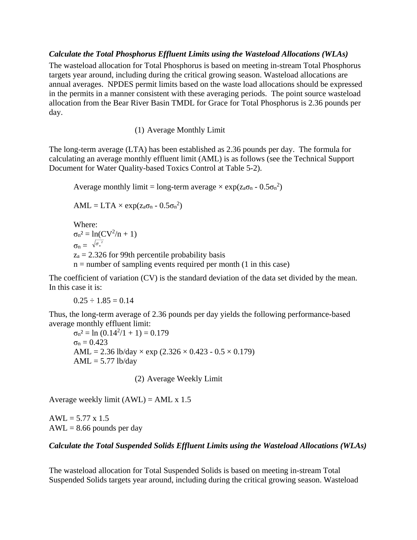#### *Calculate the Total Phosphorus Effluent Limits using the Wasteload Allocations (WLAs)*

The wasteload allocation for Total Phosphorus is based on meeting in-stream Total Phosphorus targets year around, including during the critical growing season. Wasteload allocations are annual averages. NPDES permit limits based on the waste load allocations should be expressed in the permits in a manner consistent with these averaging periods. The point source wasteload allocation from the Bear River Basin TMDL for Grace for Total Phosphorus is 2.36 pounds per day.

(1) Average Monthly Limit

The long-term average (LTA) has been established as 2.36 pounds per day. The formula for calculating an average monthly effluent limit (AML) is as follows (see the Technical Support Document for Water Quality-based Toxics Control at Table 5-2).

Average monthly limit = long-term average  $\times$  exp( $z_a\sigma_n$  - 0.5 $\sigma_n^2$ )

 $\text{AML} = \text{LTA} \times \exp(z_a \sigma_n - 0.5 \sigma_n^2)$ 

Where:  $\sigma_n^2 = \ln(CV^2/n + 1)$  $\sigma_{\rm n} = \sqrt{\sigma_{\scriptscriptstyle n}^2}$  $z_a = 2.326$  for 99th percentile probability basis  $n =$  number of sampling events required per month  $(1 \text{ in this case})$ 

The coefficient of variation (CV) is the standard deviation of the data set divided by the mean. In this case it is:

 $0.25 \div 1.85 = 0.14$ 

Thus, the long-term average of 2.36 pounds per day yields the following performance-based average monthly effluent limit:

 $\sigma_n^2 = \ln (0.14^2/1 + 1) = 0.179$  $σ<sub>n</sub> = 0.423$ AML = 2.36 lb/day  $\times$  exp (2.326  $\times$  0.423 - 0.5  $\times$  0.179)  $AML = 5.77$  lb/day

(2) Average Weekly Limit

Average weekly limit  $(AWL) = AML \times 1.5$ 

 $AWL = 5.77 \times 1.5$  $AWL = 8.66$  pounds per day

#### *Calculate the Total Suspended Solids Effluent Limits using the Wasteload Allocations (WLAs)*

The wasteload allocation for Total Suspended Solids is based on meeting in-stream Total Suspended Solids targets year around, including during the critical growing season. Wasteload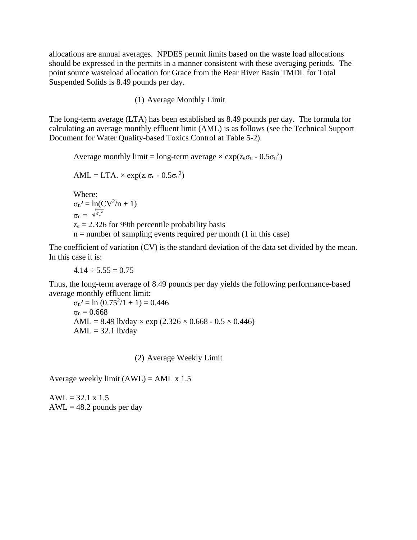allocations are annual averages. NPDES permit limits based on the waste load allocations should be expressed in the permits in a manner consistent with these averaging periods. The point source wasteload allocation for Grace from the Bear River Basin TMDL for Total Suspended Solids is 8.49 pounds per day.

(1) Average Monthly Limit

The long-term average (LTA) has been established as 8.49 pounds per day. The formula for calculating an average monthly effluent limit (AML) is as follows (see the Technical Support Document for Water Quality-based Toxics Control at Table 5-2).

Average monthly limit = long-term average  $\times$  exp( $z_a\sigma_n$  - 0.5 $\sigma_n^2$ )

 $\text{AML} = \text{LTA.} \times \exp(z_{\text{a}}\sigma_{\text{n}} - 0.5\sigma_{\text{n}}^2)$ 

Where:  $\sigma_n^2 = \ln(CV^2/n + 1)$  $\sigma_{\rm n} = \sqrt{\sigma_{\scriptscriptstyle n}^2}$  $z_a = 2.326$  for 99th percentile probability basis  $n =$  number of sampling events required per month (1 in this case)

The coefficient of variation (CV) is the standard deviation of the data set divided by the mean. In this case it is:

 $4.14 \div 5.55 = 0.75$ 

Thus, the long-term average of 8.49 pounds per day yields the following performance-based average monthly effluent limit:

 $\sigma_n^2 = \ln (0.75^2/1 + 1) = 0.446$  $σ<sub>n</sub> = 0.668$ AML = 8.49 lb/day  $\times$  exp (2.326  $\times$  0.668 - 0.5  $\times$  0.446)  $AML = 32.1$  lb/day

(2) Average Weekly Limit

Average weekly limit  $(AWL) = AML \times 1.5$ 

 $AWL = 32.1 \times 1.5$  $AWL = 48.2$  pounds per day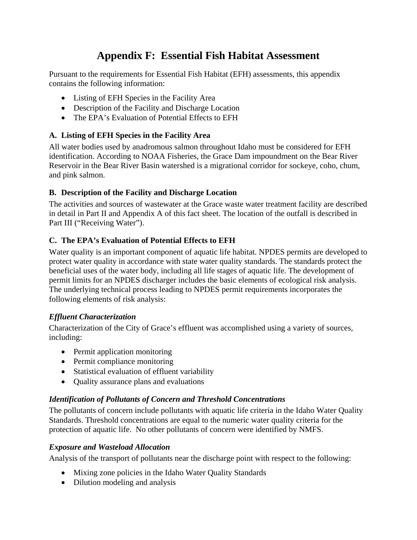# **Appendix F: Essential Fish Habitat Assessment**

Pursuant to the requirements for Essential Fish Habitat (EFH) assessments, this appendix contains the following information:

- Listing of EFH Species in the Facility Area
- Description of the Facility and Discharge Location
- The EPA's Evaluation of Potential Effects to EFH

#### **A. Listing of EFH Species in the Facility Area**

All water bodies used by anadromous salmon throughout Idaho must be considered for EFH identification. According to NOAA Fisheries, the Grace Dam impoundment on the Bear River Reservoir in the Bear River Basin watershed is a migrational corridor for sockeye, coho, chum, and pink salmon.

#### **B. Description of the Facility and Discharge Location**

The activities and sources of wastewater at the Grace waste water treatment facility are described in detail in Part II and Appendix A of this fact sheet. The location of the outfall is described in Part III ("Receiving Water").

#### **C. The EPA's Evaluation of Potential Effects to EFH**

Water quality is an important component of aquatic life habitat. NPDES permits are developed to protect water quality in accordance with state water quality standards. The standards protect the beneficial uses of the water body, including all life stages of aquatic life. The development of permit limits for an NPDES discharger includes the basic elements of ecological risk analysis. The underlying technical process leading to NPDES permit requirements incorporates the following elements of risk analysis:

#### *Effluent Characterization*

Characterization of the City of Grace's effluent was accomplished using a variety of sources, including:

- Permit application monitoring
- Permit compliance monitoring
- Statistical evaluation of effluent variability
- Ouality assurance plans and evaluations

#### *Identification of Pollutants of Concern and Threshold Concentrations*

The pollutants of concern include pollutants with aquatic life criteria in the Idaho Water Quality Standards. Threshold concentrations are equal to the numeric water quality criteria for the protection of aquatic life. No other pollutants of concern were identified by NMFS.

#### *Exposure and Wasteload Allocation*

Analysis of the transport of pollutants near the discharge point with respect to the following:

- Mixing zone policies in the Idaho Water Quality Standards
- Dilution modeling and analysis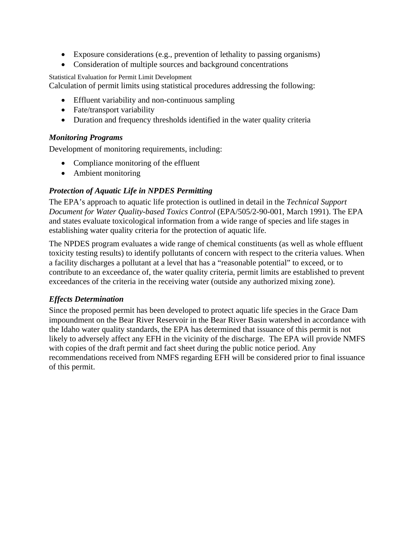- Exposure considerations (e.g., prevention of lethality to passing organisms)
- Consideration of multiple sources and background concentrations

Statistical Evaluation for Permit Limit Development

Calculation of permit limits using statistical procedures addressing the following:

- Effluent variability and non-continuous sampling
- Fate/transport variability
- Duration and frequency thresholds identified in the water quality criteria

#### *Monitoring Programs*

Development of monitoring requirements, including:

- Compliance monitoring of the effluent
- Ambient monitoring

#### *Protection of Aquatic Life in NPDES Permitting*

The EPA's approach to aquatic life protection is outlined in detail in the *Technical Support Document for Water Quality-based Toxics Control* (EPA/505/2-90-001, March 1991). The EPA and states evaluate toxicological information from a wide range of species and life stages in establishing water quality criteria for the protection of aquatic life.

The NPDES program evaluates a wide range of chemical constituents (as well as whole effluent toxicity testing results) to identify pollutants of concern with respect to the criteria values. When a facility discharges a pollutant at a level that has a "reasonable potential" to exceed, or to contribute to an exceedance of, the water quality criteria, permit limits are established to prevent exceedances of the criteria in the receiving water (outside any authorized mixing zone).

#### *Effects Determination*

Since the proposed permit has been developed to protect aquatic life species in the Grace Dam impoundment on the Bear River Reservoir in the Bear River Basin watershed in accordance with the Idaho water quality standards, the EPA has determined that issuance of this permit is not likely to adversely affect any EFH in the vicinity of the discharge. The EPA will provide NMFS with copies of the draft permit and fact sheet during the public notice period. Any recommendations received from NMFS regarding EFH will be considered prior to final issuance of this permit.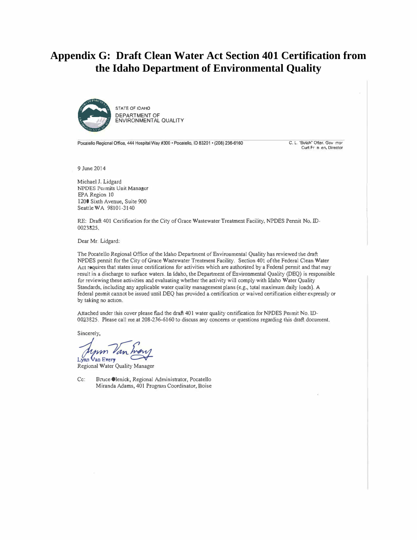### **Appendix G: Draft Clean Water Act Section 401 Certification from the Idaho Department of Environmental Quality**



Pocatello Regional Office, 444 Hospital Way #300 · Pocatello, ID 83201 · (208) 236-6160

C. L. "Butch" Otter, Gov rnor Curt Fr n en. Director

9 June 2014

Michael J. Lidgard NPDES Permits Unit Manager EPA Region 10 1200 Sixth Avenue, Suite 900 Seattle WA 98101-3140

RE: Draft 401 Certification for the City of Grace Wastewater Treatment Facility, NPDES Pennit No. ID-0023825.

Dear Mr. Lidgard:

The Pocatello Regional Office of the Idaho Department of Environmental Quality has reviewed the draft NPDES pennit for the City of Grace Wastewater Treatment Facility. Section 401 of the Federal Clean Water Act requires that states issue certifications for activities which are authorized by a Federal permit and that may result in a discharge to surface waters. In Idaho, the Department of Environmental Quality (DEQ) is responsible for reviewing these activities and evaluating whether the activity will comply with Idaho Water Quality Standards, including any applicable water quality management plans (e.g., total maximum daily loads). A federal permit cannot be issued until DEQ has provided a certification or waived certification either expressly or by taking no action.

Attached under this cover please find the draft 401 water quality certification for NPDES Permit No. ID-0023825. Please call me at 208-236-6160 to discuss any concerns or questions regarding this draft document.

Sincerely,

 $\mu_{\text{min}}$   $\mu_{\text{an Every}}$ 

Regional Water Quality Manager

Cc: Bruce Olenick, Regional Administrator, Pocatello Miranda Adams, 401 Program Coordinator, Boise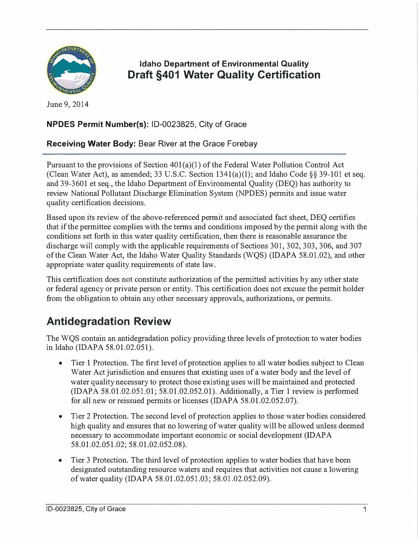

### Idaho Department of Environmental Quality Draft §401 Water Quality Certification

June 9, 2014

#### NPDES Permit Number(s): ID-0023825, City of Grace

#### Receiving Water Body: Bear River at the Grace Forebay

Pursuant to the provisions of Section 401(a)(1) of the Federal Water Pollution Control Act (Clean Water Act), as amended; 33 U.S.C. Section  $1341(a)(1)$ ; and Idaho Code §§ 39-101 et seq. and 39-3601 et seq., the Idaho Department of Environmental Quality (DEQ) has authority to review National Pollutant Discharge Elimination System (NPDES) permits and issue water quality certification decisions.

Based upon its review of the above-referenced permit and associated fact sheet, DEQ certifies that if the permittee complies with the terms and conditions imposed by the permit along with the conditions set forth in this water quality certification, then there is reasonable assurance the discharge will comply with the applicable requirements of Sections 301, 302, 303, 306, and 307 of the Clean Water Act, the Idaho Water Quality Standards (WQS) (IDAPA 58.01.02), and other appropriate water quality requirements of state law.

This certification does not constitute authorization of the permitted activities by any other state or federal agency or private person or entity. This certification does not excuse the permit holder from the obligation to obtain any other necessary approvals, authorizations, or permits.

# Antidegradation Review

The WQS contain an antidegradation policy providing three levels of protection to water bodies in Idaho (IDAPA 58.01.02.051).

- Tier 1 Protection. The first level of protection applies to all water bodies subject to Clean Water Act jurisdiction and ensures that existing uses of a water body and the level of water quality necessary to protect those existing uses will be maintained and protected (IDAPA 58.01.02.051.01; 58.01.02.052.01). Additionally, a Tier 1 review is performed for all new or reissued permits or licenses (IDAPA 58.01.02.052.07).
- Tier 2 Protection. The second level of protection applies to those water bodies considered high quality and ensures that no lowering of water quality will be allowed unless deemed necessary to accommodate important economic or social development (IDAPA 58.01.02.051.02; 58.01.02.052.08).
- Tier 3 Protection. The third level of protection applies to water bodies that have been designated outstanding resource waters and requires that activities not cause a lowering of water quality (IDAPA 58.01.02.051.03; 58.01.02.052.09).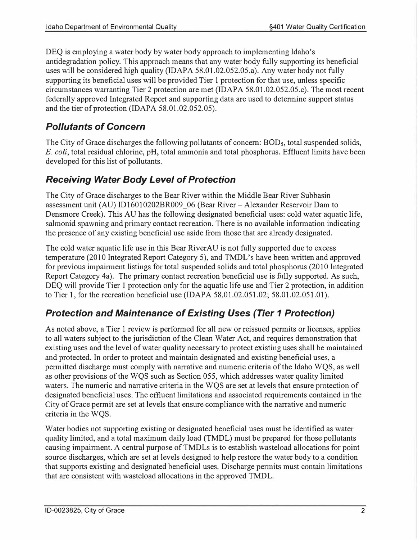DEQ is employing a water body by water body approach to implementing Idaho's antidegradation policy. This approach means that any water body fully supporting its beneficial uses will be considered high quality (IDAPA 58.01.02.052.05.a). Any water body not fully supporting its beneficial uses will be provided Tier 1 protection for that use, unless specific circumstances warranting Tier 2 protection are met (IDAPA 58.01.02.052.05.c). The most recent federally approved Integrated Report and supporting data are used to determine support status and the tier of protection (IDAPA 58.01.02.052.05).

### Pollutants of Concern

The City of Grace discharges the following pollutants of concern: BOD<sub>5</sub>, total suspended solids, E. coli, total residual chlorine, pH, total ammonia and total phosphorus. Effluent limits have been developed for this list of pollutants.

### Receiving Water Body Level of Protection

The City of Grace discharges to the Bear River within the Middle Bear River Subbasin assessment unit (AU) ID16010202BR009 06 (Bear River - Alexander Reservoir Dam to Densmore Creek). This AU has the following designated beneficial uses: cold water aquatic life, salmonid spawning and primary contact recreation. There is no available information indicating the presence of any existing beneficial use aside from those that are already designated.

The cold water aquatic life use in this Bear RiverAU is not fully supported due to excess temperature (2010 Integrated Report Category 5), and TMDL's have been written and approved for previous impairment listings for total suspended solids and total phosphorus (2010 Integrated Report Category 4a). The primary contact recreation beneficial use is fully supported. As such, DEQ will provide Tier 1 protection only for the aquatic life use and Tier 2 protection, in addition to Tier 1, for the recreation beneficial use (IDAPA 58.01.02.051.02; 58.01.02.051.01).

### Protection and Maintenance of Existing Uses (Tier 1 Protection)

As noted above, a Tier 1 review is performed for all new or reissued permits or licenses, applies to all waters subject to the jurisdiction of the Clean Water Act, and requires demonstration that existing uses and the level of water quality necessary to protect existing uses shall be maintained and protected. In order to protect and maintain designated and existing beneficial uses, a permitted discharge must comply with narrative and numeric criteria of the Idaho WQS, as well as other provisions of the WQS such as Section 055, which addresses water quality limited waters. The numeric and narrative criteria in the WQS are set at levels that ensure protection of designated beneficial uses. The effluent limitations and associated requirements contained in the City of Grace permit are set at levels that ensure compliance with the narrative and numeric criteria in the WQS.

Water bodies not supporting existing or designated beneficial uses must be identified as water quality limited, and a total maximum daily load (TMDL) must be prepared for those pollutants causing impairment. A central purpose of TMDLs is to establish wasteload allocations for point source discharges, which are set at levels designed to help restore the water body to a condition that supports existing and designated beneficial uses. Discharge permits must contain limitations that are consistent with wasteload allocations in the approved TMDL.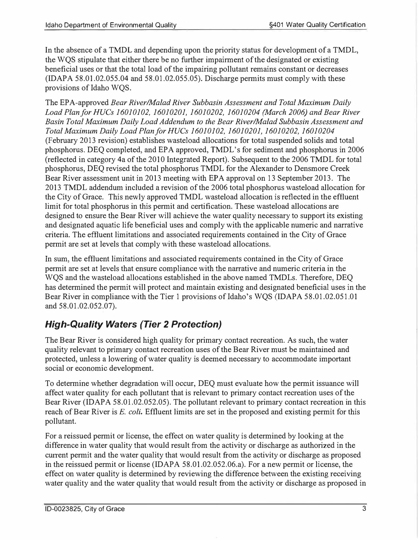In the absence of a TMDL and depending upon the priority status for development of a TMDL, the WQS stipulate that either there be no further impairment of the designated or existing beneficial uses or that the total load of the impairing pollutant remains constant or decreases (IDAPA 58.01.02.055.04 and 58.01.02.055.05). Discharge permits must comply with these provisions of Idaho WQS.

The EPA-approved Bear River/Malad River Subbasin Assessment and Total Maximum Daily Load Planfor HUCs 16010102, 16010201, 16010202, 16010204 (March 2006) and Bear River Basin Total Maximum Daily Load Addendum to the Bear River/Malad Subbasin Assessment and Total Maximum Daily Load Plan for HUCs 16010102, 16010201, 16010202, 16010204 (February 2013 revision) establishes wasteload allocations for total suspended solids and total phosphorus. DEQ completed, and EPA approved, TMDL's for sediment and phosphorus in 2006 (reflected in category 4a of the 2010 Integrated Report). Subsequent to the 2006 TMDL for total phosphorus, DEQ revised the total phosphorus TMDL for the Alexander to Densmore Creek Bear River assessment unit in 2013 meeting with EPA approval on 13 September 2013. The 2013 TMDL addendum included a revision of the 2006 total phosphorus wasteload allocation for the City of Grace. This newly approved TMDL wasteload allocation is reflected in the effluent limit for total phosphorus in this permit and certification. These wasteload allocations are designed to ensure the Bear River will achieve the water quality necessary to support its existing and designated aquatic life beneficial uses and comply with the applicable numeric and narrative criteria. The effluent limitations and associated requirements contained in the City of Grace permit are set at levels that comply with these wasteload allocations.

In sum, the effluent limitations and associated requirements contained in the City of Grace permit are set at levels that ensure compliance with the narrative and numeric criteria in the WQS and the wasteload allocations established in the above named TMDLs. Therefore, DEQ has determined the permit will protect and maintain existing and designated beneficial uses in the Bear River in compliance with the Tier 1 provisions of Idaho's WQS (IDAPA 58.01.02.051.01 and 58.01.02.052.07).

### High-Quality Waters {Tier 2 Protection)

The Bear River is considered high quality for primary contact recreation. As such, the water quality relevant to primary contact recreation uses of the Bear River must be maintained and protected, unless a lowering of water quality is deemed necessary to accommodate important social or economic development.

To determine whether degradation will occur, DEQ must evaluate how the permit issuance will affect water quality for each pollutant that is relevant to primary contact recreation uses of the Bear River (IDAPA 58.01.02.052.05). The pollutant relevant to primary contact recreation in this reach of Bear River is E. coli. Effluent limits are set in the proposed and existing permit for this pollutant.

For a reissued permit or license, the effect on water quality is determined by looking at the difference in water quality that would result from the activity or discharge as authorized in the current permit and the water quality that would result from the activity or discharge as proposed in the reissued permit or license (IDAPA 58.01.02.052.06.a). For a new permit or license, the effect on water quality is determined by reviewing the difference between the existing receiving water quality and the water quality that would result from the activity or discharge as proposed in